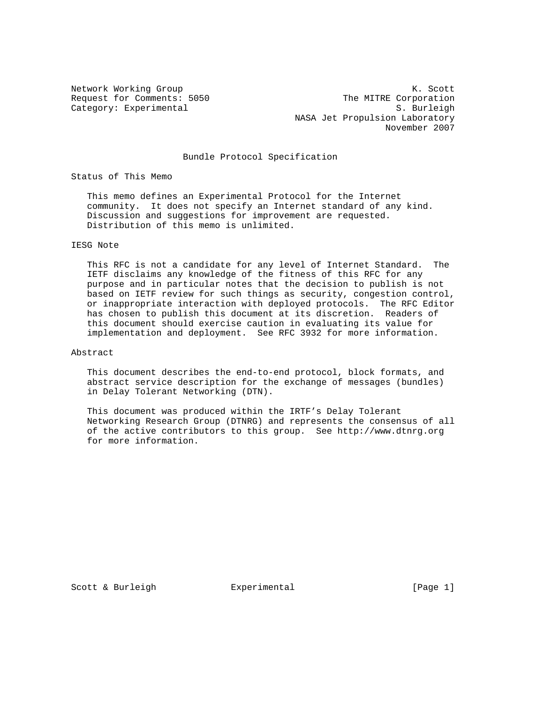Category: Experimental

Network Working Group Network Working Group Network Working Group Request for Comments: 5050 The MITRE Corporation<br>
Category: Experimental S. Burleigh NASA Jet Propulsion Laboratory November 2007

## Bundle Protocol Specification

Status of This Memo

 This memo defines an Experimental Protocol for the Internet community. It does not specify an Internet standard of any kind. Discussion and suggestions for improvement are requested. Distribution of this memo is unlimited.

#### IESG Note

 This RFC is not a candidate for any level of Internet Standard. The IETF disclaims any knowledge of the fitness of this RFC for any purpose and in particular notes that the decision to publish is not based on IETF review for such things as security, congestion control, or inappropriate interaction with deployed protocols. The RFC Editor has chosen to publish this document at its discretion. Readers of this document should exercise caution in evaluating its value for implementation and deployment. See RFC 3932 for more information.

#### Abstract

 This document describes the end-to-end protocol, block formats, and abstract service description for the exchange of messages (bundles) in Delay Tolerant Networking (DTN).

 This document was produced within the IRTF's Delay Tolerant Networking Research Group (DTNRG) and represents the consensus of all of the active contributors to this group. See http://www.dtnrg.org for more information.

Scott & Burleigh  $\qquad \qquad$  Experimental  $\qquad \qquad$  [Page 1]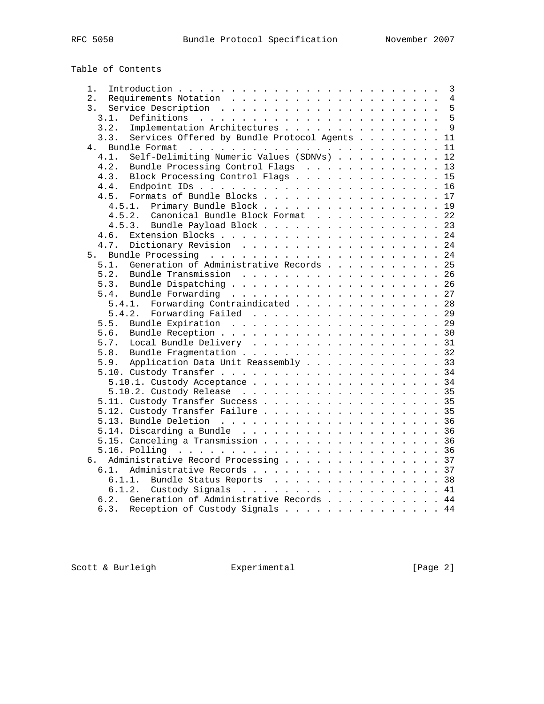Table of Contents

| 1.                                                    |  |  |  |  | 3            |
|-------------------------------------------------------|--|--|--|--|--------------|
| 2.                                                    |  |  |  |  | 4            |
| 3.                                                    |  |  |  |  | 5            |
| 3.1.                                                  |  |  |  |  | 5            |
| Implementation Architectures<br>3.2.                  |  |  |  |  | $\mathsf{Q}$ |
| 3.3.<br>Services Offered by Bundle Protocol Agents 11 |  |  |  |  |              |
| 4 <sub>1</sub>                                        |  |  |  |  | 11           |
| Self-Delimiting Numeric Values (SDNVs) 12<br>4.1.     |  |  |  |  |              |
| 4.2.<br>Bundle Processing Control Flags 13            |  |  |  |  |              |
| Block Processing Control Flags 15<br>4.3.             |  |  |  |  |              |
| 4.4.                                                  |  |  |  |  |              |
| Formats of Bundle Blocks 17<br>4.5.                   |  |  |  |  |              |
| Primary Bundle Block 19<br>4.5.1.                     |  |  |  |  |              |
| 4.5.2. Canonical Bundle Block Format 22               |  |  |  |  |              |
| Bundle Payload Block 23<br>4.5.3.                     |  |  |  |  |              |
|                                                       |  |  |  |  |              |
| 4.6.                                                  |  |  |  |  |              |
| 4.7.<br>Dictionary Revision 24                        |  |  |  |  |              |
| 5.                                                    |  |  |  |  |              |
| Generation of Administrative Records 25<br>5.1.       |  |  |  |  |              |
| 5.2.<br>Bundle Transmission 26                        |  |  |  |  |              |
| 5.3.                                                  |  |  |  |  |              |
| 5.4.                                                  |  |  |  |  |              |
| Forwarding Contraindicated 28<br>5.4.1.               |  |  |  |  |              |
| Forwarding Failed 29<br>5.4.2.                        |  |  |  |  |              |
| 5.5.                                                  |  |  |  |  |              |
| 5.6.                                                  |  |  |  |  |              |
| 5.7.<br>Local Bundle Delivery 31                      |  |  |  |  |              |
| Bundle Fragmentation 32<br>5.8.                       |  |  |  |  |              |
| Application Data Unit Reassembly 33<br>5.9.           |  |  |  |  |              |
|                                                       |  |  |  |  |              |
| 5.10.1. Custody Acceptance 34                         |  |  |  |  |              |
|                                                       |  |  |  |  |              |
| 5.11. Custody Transfer Success 35                     |  |  |  |  |              |
| 5.12. Custody Transfer Failure 35                     |  |  |  |  |              |
|                                                       |  |  |  |  |              |
|                                                       |  |  |  |  |              |
| 5.15. Canceling a Transmission 36                     |  |  |  |  |              |
|                                                       |  |  |  |  |              |
| Administrative Record Processing 37<br>б.             |  |  |  |  |              |
| 6.1. Administrative Records 37                        |  |  |  |  |              |
| 6.1.1. Bundle Status Reports 38                       |  |  |  |  |              |
| 6.1.2.                                                |  |  |  |  | 41           |
| Generation of Administrative Records 44<br>6.2.       |  |  |  |  |              |
| 6.3.                                                  |  |  |  |  |              |
| Reception of Custody Signals 44                       |  |  |  |  |              |

Scott & Burleigh **Experimental** [Page 2]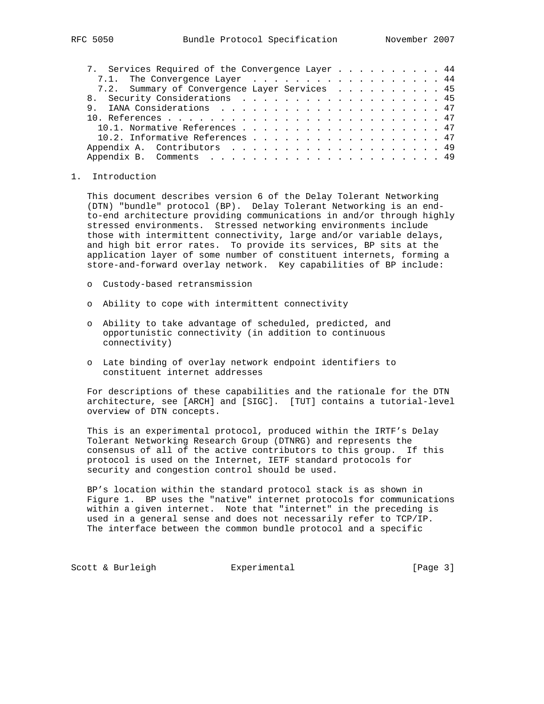| 7. Services Required of the Convergence Layer 44 |  |  |  |  |  |  |
|--------------------------------------------------|--|--|--|--|--|--|
| 7.1. The Convergence Layer 44                    |  |  |  |  |  |  |
| 7.2. Summary of Convergence Layer Services 45    |  |  |  |  |  |  |
| 8. Security Considerations 45                    |  |  |  |  |  |  |
|                                                  |  |  |  |  |  |  |
|                                                  |  |  |  |  |  |  |
| 10.1. Normative References 47                    |  |  |  |  |  |  |
| 10.2. Informative References 47                  |  |  |  |  |  |  |
| Appendix A. Contributors 49                      |  |  |  |  |  |  |
|                                                  |  |  |  |  |  |  |

#### 1. Introduction

 This document describes version 6 of the Delay Tolerant Networking (DTN) "bundle" protocol (BP). Delay Tolerant Networking is an end to-end architecture providing communications in and/or through highly stressed environments. Stressed networking environments include those with intermittent connectivity, large and/or variable delays, and high bit error rates. To provide its services, BP sits at the application layer of some number of constituent internets, forming a store-and-forward overlay network. Key capabilities of BP include:

- o Custody-based retransmission
- o Ability to cope with intermittent connectivity
- o Ability to take advantage of scheduled, predicted, and opportunistic connectivity (in addition to continuous connectivity)
- o Late binding of overlay network endpoint identifiers to constituent internet addresses

 For descriptions of these capabilities and the rationale for the DTN architecture, see [ARCH] and [SIGC]. [TUT] contains a tutorial-level overview of DTN concepts.

 This is an experimental protocol, produced within the IRTF's Delay Tolerant Networking Research Group (DTNRG) and represents the consensus of all of the active contributors to this group. If this protocol is used on the Internet, IETF standard protocols for security and congestion control should be used.

 BP's location within the standard protocol stack is as shown in Figure 1. BP uses the "native" internet protocols for communications within a given internet. Note that "internet" in the preceding is used in a general sense and does not necessarily refer to TCP/IP. The interface between the common bundle protocol and a specific

Scott & Burleigh  $\qquad \qquad$  Experimental  $\qquad \qquad$  [Page 3]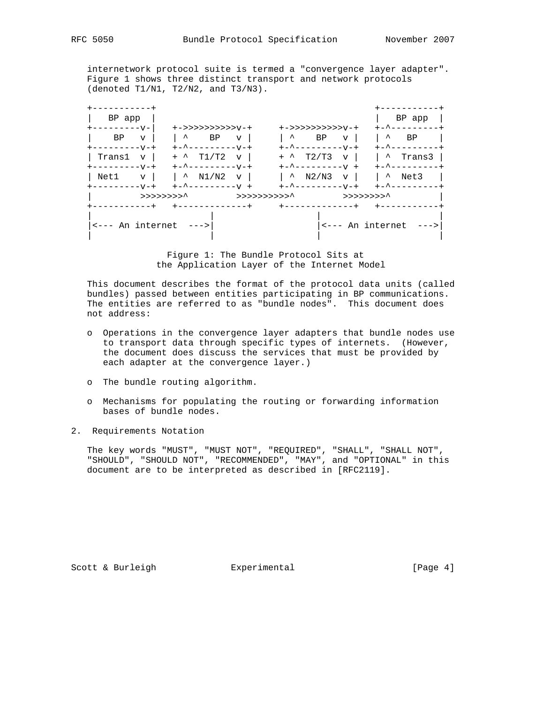internetwork protocol suite is termed a "convergence layer adapter". Figure 1 shows three distinct transport and network protocols (denoted T1/N1, T2/N2, and T3/N3).

| BP app<br>----------v-              |                           | +->>>>>>>>>>>>v-+                                |                           |                     | +->>>>>>>>>>>v-+                     |                     | BP app<br>+-^-------- |
|-------------------------------------|---------------------------|--------------------------------------------------|---------------------------|---------------------|--------------------------------------|---------------------|-----------------------|
| BP.<br>$+ - - - - - - - - - +$      | $\overline{V}$            | $\sim$<br>$+           +$                        | BP<br>$\mathbf{v}$        | $\hat{\phantom{a}}$ | <b>BP</b><br>$\mathbf{v}$            | $\hat{\phantom{a}}$ | BP<br>+-^--------     |
| Transl<br>----------v-+             | $\mathbf v$               | T1/T2<br>$+$ ^<br>$+-$ ^ - - - - - - - - - V - + | $\mathbf{v}$              |                     | $+$ $\sim$ T2/T3 v l<br>$+        +$ | +-^--------         | <sup>1</sup> Trans3   |
| Net1 v  <br>$+ - - - - - - - - - +$ |                           | $\sim$ N1/N2<br>$+  - -   +$                     | $\mathbf{v}$              | $\sim$ N2/N3        | +-^---------v-+                      | v   1 ^             | Net3<br>+-^--------   |
|                                     | $>$ >>>>>>>> <sup>^</sup> |                                                  | >>>>>>>>>>>> <sup>^</sup> |                     | >>>>>>>>> <sup>^</sup>               |                     |                       |

 Figure 1: The Bundle Protocol Sits at the Application Layer of the Internet Model

 This document describes the format of the protocol data units (called bundles) passed between entities participating in BP communications. The entities are referred to as "bundle nodes". This document does not address:

- o Operations in the convergence layer adapters that bundle nodes use to transport data through specific types of internets. (However, the document does discuss the services that must be provided by each adapter at the convergence layer.)
- o The bundle routing algorithm.
- o Mechanisms for populating the routing or forwarding information bases of bundle nodes.
- 2. Requirements Notation

 The key words "MUST", "MUST NOT", "REQUIRED", "SHALL", "SHALL NOT", "SHOULD", "SHOULD NOT", "RECOMMENDED", "MAY", and "OPTIONAL" in this document are to be interpreted as described in [RFC2119].

Scott & Burleigh  $\qquad \qquad$  Experimental  $\qquad \qquad$  [Page 4]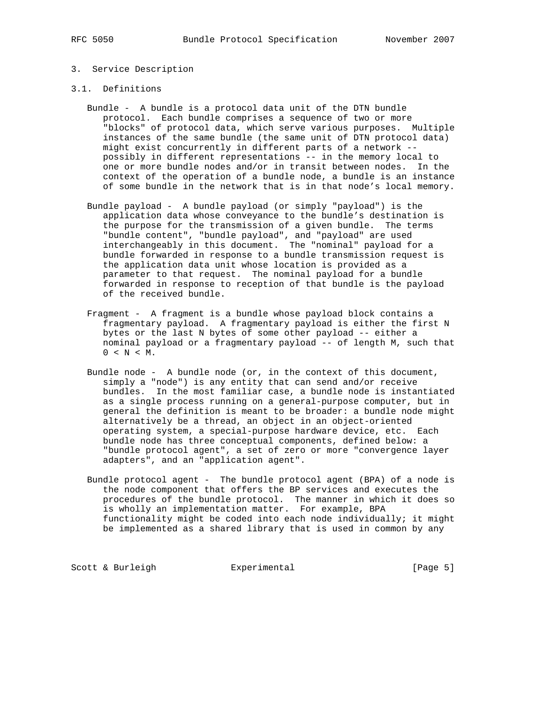## 3. Service Description

#### 3.1. Definitions

- Bundle A bundle is a protocol data unit of the DTN bundle protocol. Each bundle comprises a sequence of two or more "blocks" of protocol data, which serve various purposes. Multiple instances of the same bundle (the same unit of DTN protocol data) might exist concurrently in different parts of a network - possibly in different representations -- in the memory local to one or more bundle nodes and/or in transit between nodes. In the context of the operation of a bundle node, a bundle is an instance of some bundle in the network that is in that node's local memory.
- Bundle payload A bundle payload (or simply "payload") is the application data whose conveyance to the bundle's destination is the purpose for the transmission of a given bundle. The terms "bundle content", "bundle payload", and "payload" are used interchangeably in this document. The "nominal" payload for a bundle forwarded in response to a bundle transmission request is the application data unit whose location is provided as a parameter to that request. The nominal payload for a bundle forwarded in response to reception of that bundle is the payload of the received bundle.
- Fragment A fragment is a bundle whose payload block contains a fragmentary payload. A fragmentary payload is either the first N bytes or the last N bytes of some other payload -- either a nominal payload or a fragmentary payload -- of length M, such that  $0 < N < M$ .
- Bundle node A bundle node (or, in the context of this document, simply a "node") is any entity that can send and/or receive bundles. In the most familiar case, a bundle node is instantiated as a single process running on a general-purpose computer, but in general the definition is meant to be broader: a bundle node might alternatively be a thread, an object in an object-oriented operating system, a special-purpose hardware device, etc. Each bundle node has three conceptual components, defined below: a "bundle protocol agent", a set of zero or more "convergence layer adapters", and an "application agent".
- Bundle protocol agent The bundle protocol agent (BPA) of a node is the node component that offers the BP services and executes the procedures of the bundle protocol. The manner in which it does so is wholly an implementation matter. For example, BPA functionality might be coded into each node individually; it might be implemented as a shared library that is used in common by any

Scott & Burleigh **Experimental** [Page 5]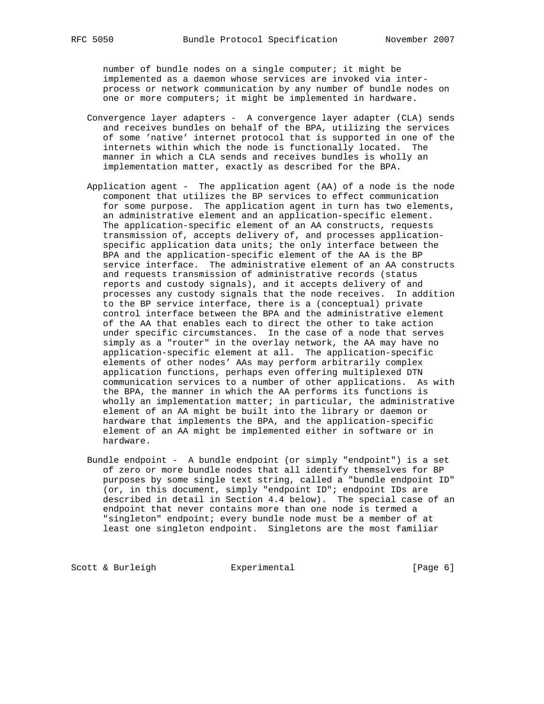number of bundle nodes on a single computer; it might be implemented as a daemon whose services are invoked via inter process or network communication by any number of bundle nodes on one or more computers; it might be implemented in hardware.

- Convergence layer adapters A convergence layer adapter (CLA) sends and receives bundles on behalf of the BPA, utilizing the services of some 'native' internet protocol that is supported in one of the internets within which the node is functionally located. The manner in which a CLA sends and receives bundles is wholly an implementation matter, exactly as described for the BPA.
- Application agent The application agent (AA) of a node is the node component that utilizes the BP services to effect communication for some purpose. The application agent in turn has two elements, an administrative element and an application-specific element. The application-specific element of an AA constructs, requests transmission of, accepts delivery of, and processes application specific application data units; the only interface between the BPA and the application-specific element of the AA is the BP service interface. The administrative element of an AA constructs and requests transmission of administrative records (status reports and custody signals), and it accepts delivery of and processes any custody signals that the node receives. In addition to the BP service interface, there is a (conceptual) private control interface between the BPA and the administrative element of the AA that enables each to direct the other to take action under specific circumstances. In the case of a node that serves simply as a "router" in the overlay network, the AA may have no application-specific element at all. The application-specific elements of other nodes' AAs may perform arbitrarily complex application functions, perhaps even offering multiplexed DTN communication services to a number of other applications. As with the BPA, the manner in which the AA performs its functions is wholly an implementation matter; in particular, the administrative element of an AA might be built into the library or daemon or hardware that implements the BPA, and the application-specific element of an AA might be implemented either in software or in hardware.
- Bundle endpoint A bundle endpoint (or simply "endpoint") is a set of zero or more bundle nodes that all identify themselves for BP purposes by some single text string, called a "bundle endpoint ID" (or, in this document, simply "endpoint ID"; endpoint IDs are described in detail in Section 4.4 below). The special case of an endpoint that never contains more than one node is termed a "singleton" endpoint; every bundle node must be a member of at least one singleton endpoint. Singletons are the most familiar

Scott & Burleigh **Experimental** [Page 6]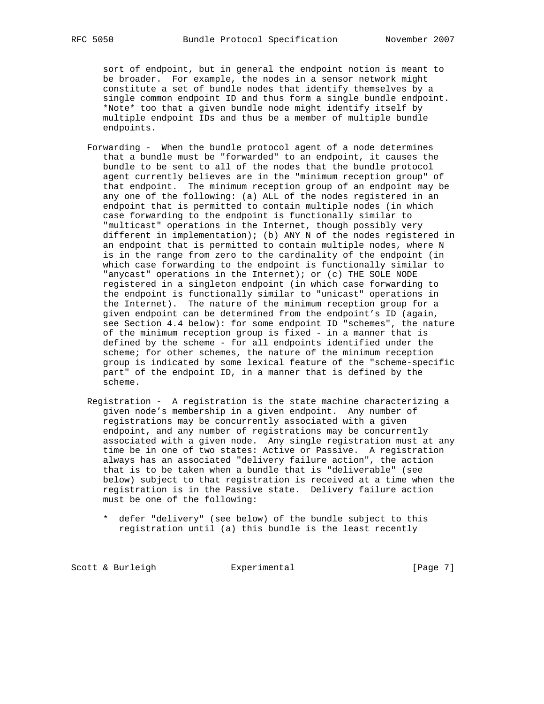sort of endpoint, but in general the endpoint notion is meant to be broader. For example, the nodes in a sensor network might constitute a set of bundle nodes that identify themselves by a single common endpoint ID and thus form a single bundle endpoint. \*Note\* too that a given bundle node might identify itself by multiple endpoint IDs and thus be a member of multiple bundle endpoints.

- Forwarding When the bundle protocol agent of a node determines that a bundle must be "forwarded" to an endpoint, it causes the bundle to be sent to all of the nodes that the bundle protocol agent currently believes are in the "minimum reception group" of that endpoint. The minimum reception group of an endpoint may be any one of the following: (a) ALL of the nodes registered in an endpoint that is permitted to contain multiple nodes (in which case forwarding to the endpoint is functionally similar to "multicast" operations in the Internet, though possibly very different in implementation); (b) ANY N of the nodes registered in an endpoint that is permitted to contain multiple nodes, where N is in the range from zero to the cardinality of the endpoint (in which case forwarding to the endpoint is functionally similar to "anycast" operations in the Internet); or (c) THE SOLE NODE registered in a singleton endpoint (in which case forwarding to the endpoint is functionally similar to "unicast" operations in the Internet). The nature of the minimum reception group for a given endpoint can be determined from the endpoint's ID (again, see Section 4.4 below): for some endpoint ID "schemes", the nature of the minimum reception group is fixed - in a manner that is defined by the scheme - for all endpoints identified under the scheme; for other schemes, the nature of the minimum reception group is indicated by some lexical feature of the "scheme-specific part" of the endpoint ID, in a manner that is defined by the scheme.
- Registration A registration is the state machine characterizing a given node's membership in a given endpoint. Any number of registrations may be concurrently associated with a given endpoint, and any number of registrations may be concurrently associated with a given node. Any single registration must at any time be in one of two states: Active or Passive. A registration always has an associated "delivery failure action", the action that is to be taken when a bundle that is "deliverable" (see below) subject to that registration is received at a time when the registration is in the Passive state. Delivery failure action must be one of the following:
	- \* defer "delivery" (see below) of the bundle subject to this registration until (a) this bundle is the least recently

Scott & Burleigh **Experimental** Experimental [Page 7]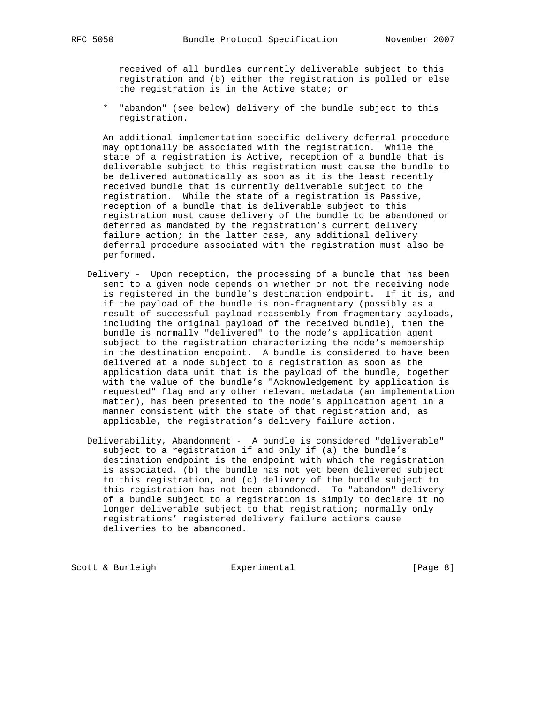received of all bundles currently deliverable subject to this registration and (b) either the registration is polled or else the registration is in the Active state; or

 \* "abandon" (see below) delivery of the bundle subject to this registration.

 An additional implementation-specific delivery deferral procedure may optionally be associated with the registration. While the state of a registration is Active, reception of a bundle that is deliverable subject to this registration must cause the bundle to be delivered automatically as soon as it is the least recently received bundle that is currently deliverable subject to the registration. While the state of a registration is Passive, reception of a bundle that is deliverable subject to this registration must cause delivery of the bundle to be abandoned or deferred as mandated by the registration's current delivery failure action; in the latter case, any additional delivery deferral procedure associated with the registration must also be performed.

- Delivery Upon reception, the processing of a bundle that has been sent to a given node depends on whether or not the receiving node is registered in the bundle's destination endpoint. If it is, and if the payload of the bundle is non-fragmentary (possibly as a result of successful payload reassembly from fragmentary payloads, including the original payload of the received bundle), then the bundle is normally "delivered" to the node's application agent subject to the registration characterizing the node's membership in the destination endpoint. A bundle is considered to have been delivered at a node subject to a registration as soon as the application data unit that is the payload of the bundle, together with the value of the bundle's "Acknowledgement by application is requested" flag and any other relevant metadata (an implementation matter), has been presented to the node's application agent in a manner consistent with the state of that registration and, as applicable, the registration's delivery failure action.
- Deliverability, Abandonment A bundle is considered "deliverable" subject to a registration if and only if (a) the bundle's destination endpoint is the endpoint with which the registration is associated, (b) the bundle has not yet been delivered subject to this registration, and (c) delivery of the bundle subject to this registration has not been abandoned. To "abandon" delivery of a bundle subject to a registration is simply to declare it no longer deliverable subject to that registration; normally only registrations' registered delivery failure actions cause deliveries to be abandoned.

Scott & Burleigh **Experimental** Experimental [Page 8]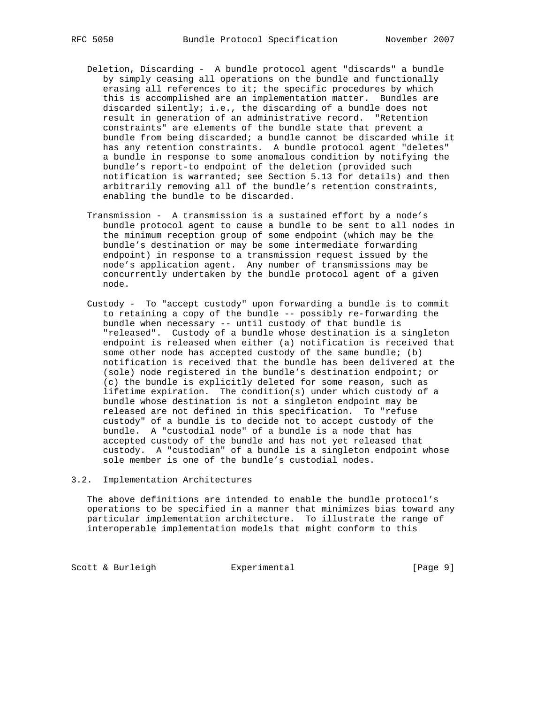- Deletion, Discarding A bundle protocol agent "discards" a bundle by simply ceasing all operations on the bundle and functionally erasing all references to it; the specific procedures by which this is accomplished are an implementation matter. Bundles are discarded silently; i.e., the discarding of a bundle does not result in generation of an administrative record. "Retention constraints" are elements of the bundle state that prevent a bundle from being discarded; a bundle cannot be discarded while it has any retention constraints. A bundle protocol agent "deletes" a bundle in response to some anomalous condition by notifying the bundle's report-to endpoint of the deletion (provided such notification is warranted; see Section 5.13 for details) and then arbitrarily removing all of the bundle's retention constraints, enabling the bundle to be discarded.
- Transmission A transmission is a sustained effort by a node's bundle protocol agent to cause a bundle to be sent to all nodes in the minimum reception group of some endpoint (which may be the bundle's destination or may be some intermediate forwarding endpoint) in response to a transmission request issued by the node's application agent. Any number of transmissions may be concurrently undertaken by the bundle protocol agent of a given node.
- Custody To "accept custody" upon forwarding a bundle is to commit to retaining a copy of the bundle -- possibly re-forwarding the bundle when necessary -- until custody of that bundle is "released". Custody of a bundle whose destination is a singleton endpoint is released when either (a) notification is received that some other node has accepted custody of the same bundle; (b) notification is received that the bundle has been delivered at the (sole) node registered in the bundle's destination endpoint; or (c) the bundle is explicitly deleted for some reason, such as lifetime expiration. The condition(s) under which custody of a bundle whose destination is not a singleton endpoint may be released are not defined in this specification. To "refuse custody" of a bundle is to decide not to accept custody of the bundle. A "custodial node" of a bundle is a node that has accepted custody of the bundle and has not yet released that custody. A "custodian" of a bundle is a singleton endpoint whose sole member is one of the bundle's custodial nodes.

#### 3.2. Implementation Architectures

 The above definitions are intended to enable the bundle protocol's operations to be specified in a manner that minimizes bias toward any particular implementation architecture. To illustrate the range of interoperable implementation models that might conform to this

Scott & Burleigh **Experimental** [Page 9]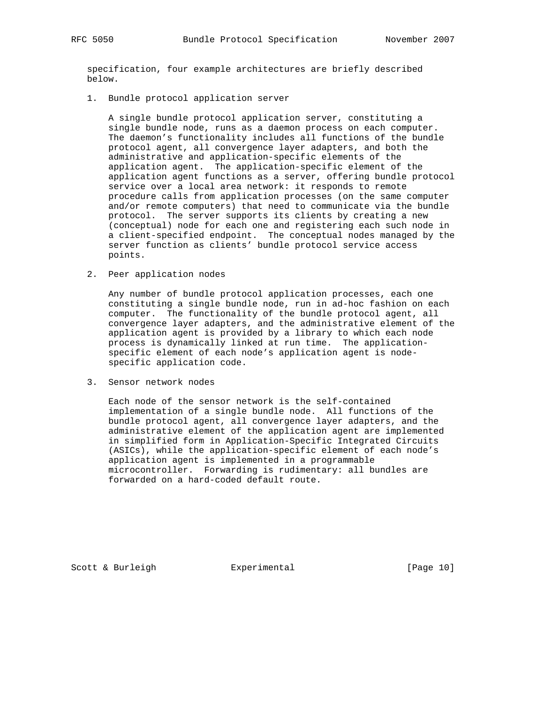specification, four example architectures are briefly described below.

1. Bundle protocol application server

 A single bundle protocol application server, constituting a single bundle node, runs as a daemon process on each computer. The daemon's functionality includes all functions of the bundle protocol agent, all convergence layer adapters, and both the administrative and application-specific elements of the application agent. The application-specific element of the application agent functions as a server, offering bundle protocol service over a local area network: it responds to remote procedure calls from application processes (on the same computer and/or remote computers) that need to communicate via the bundle protocol. The server supports its clients by creating a new (conceptual) node for each one and registering each such node in a client-specified endpoint. The conceptual nodes managed by the server function as clients' bundle protocol service access points.

2. Peer application nodes

 Any number of bundle protocol application processes, each one constituting a single bundle node, run in ad-hoc fashion on each computer. The functionality of the bundle protocol agent, all convergence layer adapters, and the administrative element of the application agent is provided by a library to which each node process is dynamically linked at run time. The application specific element of each node's application agent is node specific application code.

3. Sensor network nodes

 Each node of the sensor network is the self-contained implementation of a single bundle node. All functions of the bundle protocol agent, all convergence layer adapters, and the administrative element of the application agent are implemented in simplified form in Application-Specific Integrated Circuits (ASICs), while the application-specific element of each node's application agent is implemented in a programmable microcontroller. Forwarding is rudimentary: all bundles are forwarded on a hard-coded default route.

Scott & Burleigh  $\qquad \qquad$  Experimental [Page 10]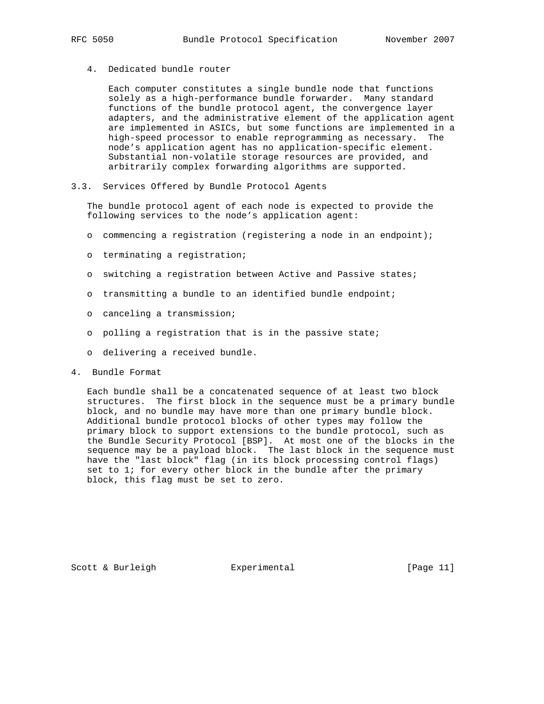4. Dedicated bundle router

 Each computer constitutes a single bundle node that functions solely as a high-performance bundle forwarder. Many standard functions of the bundle protocol agent, the convergence layer adapters, and the administrative element of the application agent are implemented in ASICs, but some functions are implemented in a high-speed processor to enable reprogramming as necessary. The node's application agent has no application-specific element. Substantial non-volatile storage resources are provided, and arbitrarily complex forwarding algorithms are supported.

3.3. Services Offered by Bundle Protocol Agents

 The bundle protocol agent of each node is expected to provide the following services to the node's application agent:

- o commencing a registration (registering a node in an endpoint);
- o terminating a registration;
- o switching a registration between Active and Passive states;
- o transmitting a bundle to an identified bundle endpoint;
- o canceling a transmission;
- o polling a registration that is in the passive state;
- o delivering a received bundle.
- 4. Bundle Format

 Each bundle shall be a concatenated sequence of at least two block structures. The first block in the sequence must be a primary bundle block, and no bundle may have more than one primary bundle block. Additional bundle protocol blocks of other types may follow the primary block to support extensions to the bundle protocol, such as the Bundle Security Protocol [BSP]. At most one of the blocks in the sequence may be a payload block. The last block in the sequence must have the "last block" flag (in its block processing control flags) set to 1; for every other block in the bundle after the primary block, this flag must be set to zero.

Scott & Burleigh  $\qquad \qquad$  Experimental [Page 11]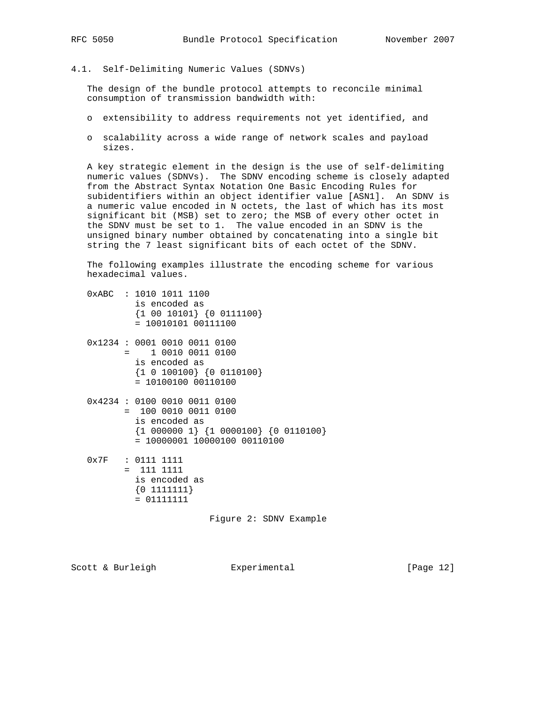4.1. Self-Delimiting Numeric Values (SDNVs)

 The design of the bundle protocol attempts to reconcile minimal consumption of transmission bandwidth with:

- o extensibility to address requirements not yet identified, and
- o scalability across a wide range of network scales and payload sizes.

 A key strategic element in the design is the use of self-delimiting numeric values (SDNVs). The SDNV encoding scheme is closely adapted from the Abstract Syntax Notation One Basic Encoding Rules for subidentifiers within an object identifier value [ASN1]. An SDNV is a numeric value encoded in N octets, the last of which has its most significant bit (MSB) set to zero; the MSB of every other octet in the SDNV must be set to 1. The value encoded in an SDNV is the unsigned binary number obtained by concatenating into a single bit string the 7 least significant bits of each octet of the SDNV.

 The following examples illustrate the encoding scheme for various hexadecimal values.

- 0xABC : 1010 1011 1100 is encoded as {1 00 10101} {0 0111100} = 10010101 00111100
- 0x1234 : 0001 0010 0011 0100 = 1 0010 0011 0100 is encoded as {1 0 100100} {0 0110100} = 10100100 00110100
- 0x4234 : 0100 0010 0011 0100 = 100 0010 0011 0100 is encoded as {1 000000 1} {1 0000100} {0 0110100}  $= 10000001$  10000100 00110100

 0x7F : 0111 1111  $= 111 1111$  is encoded as {0 1111111}  $= 01111111$ 

Figure 2: SDNV Example

Scott & Burleigh Experimental [Page 12]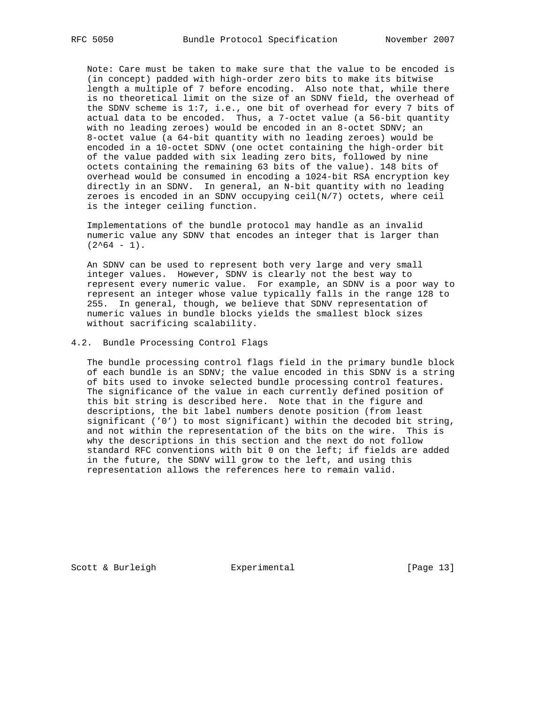Note: Care must be taken to make sure that the value to be encoded is (in concept) padded with high-order zero bits to make its bitwise length a multiple of 7 before encoding. Also note that, while there is no theoretical limit on the size of an SDNV field, the overhead of the SDNV scheme is 1:7, i.e., one bit of overhead for every 7 bits of actual data to be encoded. Thus, a 7-octet value (a 56-bit quantity with no leading zeroes) would be encoded in an 8-octet SDNV; an 8-octet value (a 64-bit quantity with no leading zeroes) would be encoded in a 10-octet SDNV (one octet containing the high-order bit of the value padded with six leading zero bits, followed by nine octets containing the remaining 63 bits of the value). 148 bits of overhead would be consumed in encoding a 1024-bit RSA encryption key directly in an SDNV. In general, an N-bit quantity with no leading zeroes is encoded in an SDNV occupying  $ceil(N/7)$  octets, where ceil is the integer ceiling function.

 Implementations of the bundle protocol may handle as an invalid numeric value any SDNV that encodes an integer that is larger than  $(2^64 - 1)$ .

 An SDNV can be used to represent both very large and very small integer values. However, SDNV is clearly not the best way to represent every numeric value. For example, an SDNV is a poor way to represent an integer whose value typically falls in the range 128 to 255. In general, though, we believe that SDNV representation of numeric values in bundle blocks yields the smallest block sizes without sacrificing scalability.

#### 4.2. Bundle Processing Control Flags

 The bundle processing control flags field in the primary bundle block of each bundle is an SDNV; the value encoded in this SDNV is a string of bits used to invoke selected bundle processing control features. The significance of the value in each currently defined position of this bit string is described here. Note that in the figure and descriptions, the bit label numbers denote position (from least significant ('0') to most significant) within the decoded bit string, and not within the representation of the bits on the wire. This is why the descriptions in this section and the next do not follow standard RFC conventions with bit 0 on the left; if fields are added in the future, the SDNV will grow to the left, and using this representation allows the references here to remain valid.

Scott & Burleigh  $\qquad \qquad$  Experimental [Page 13]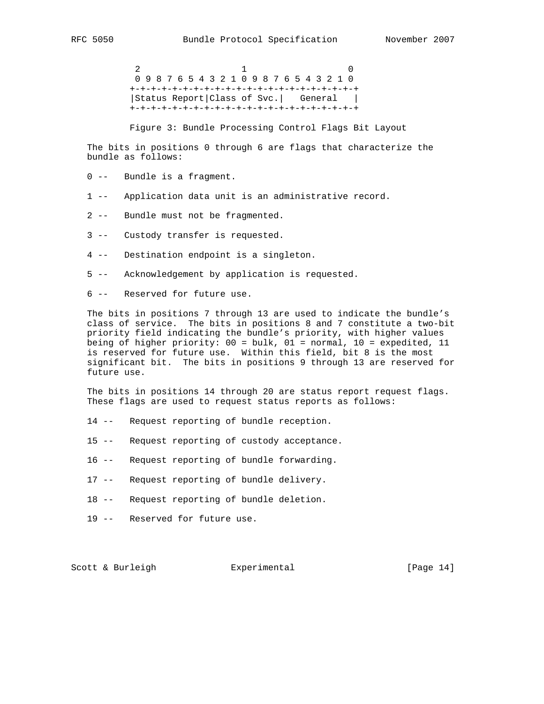$2$  1 0 0 9 8 7 6 5 4 3 2 1 0 9 8 7 6 5 4 3 2 1 0 +-+-+-+-+-+-+-+-+-+-+-+-+-+-+-+-+-+-+-+-+-+ |Status Report|Class of Svc.| General | +-+-+-+-+-+-+-+-+-+-+-+-+-+-+-+-+-+-+-+-+-+

Figure 3: Bundle Processing Control Flags Bit Layout

 The bits in positions 0 through 6 are flags that characterize the bundle as follows:

- 0 -- Bundle is a fragment.
- 1 -- Application data unit is an administrative record.
- 2 -- Bundle must not be fragmented.
- 3 -- Custody transfer is requested.
- 4 -- Destination endpoint is a singleton.
- 5 -- Acknowledgement by application is requested.
- 6 -- Reserved for future use.

 The bits in positions 7 through 13 are used to indicate the bundle's class of service. The bits in positions 8 and 7 constitute a two-bit priority field indicating the bundle's priority, with higher values being of higher priority: 00 = bulk, 01 = normal, 10 = expedited, 11 is reserved for future use. Within this field, bit 8 is the most significant bit. The bits in positions 9 through 13 are reserved for future use.

 The bits in positions 14 through 20 are status report request flags. These flags are used to request status reports as follows:

- 14 -- Request reporting of bundle reception.
- 15 -- Request reporting of custody acceptance.
- 16 -- Request reporting of bundle forwarding.
- 17 -- Request reporting of bundle delivery.
- 18 -- Request reporting of bundle deletion.
- 19 -- Reserved for future use.

Scott & Burleigh **Experimental** [Page 14]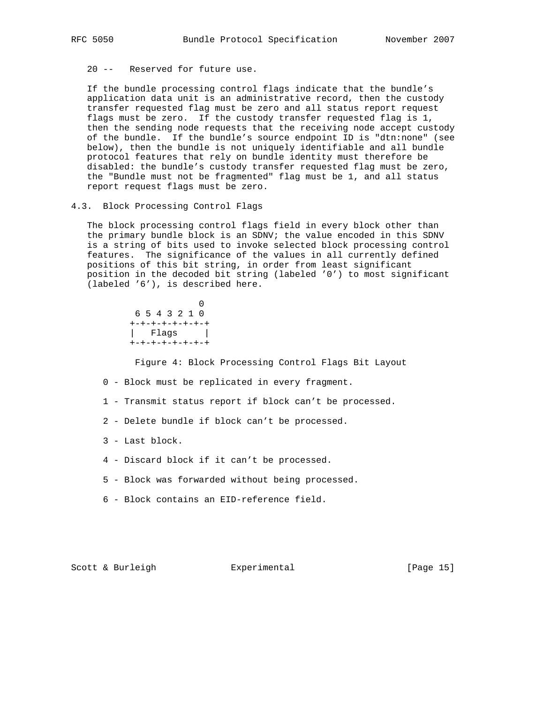20 -- Reserved for future use.

 If the bundle processing control flags indicate that the bundle's application data unit is an administrative record, then the custody transfer requested flag must be zero and all status report request flags must be zero. If the custody transfer requested flag is 1, then the sending node requests that the receiving node accept custody of the bundle. If the bundle's source endpoint ID is "dtn:none" (see below), then the bundle is not uniquely identifiable and all bundle protocol features that rely on bundle identity must therefore be disabled: the bundle's custody transfer requested flag must be zero, the "Bundle must not be fragmented" flag must be 1, and all status report request flags must be zero.

4.3. Block Processing Control Flags

 The block processing control flags field in every block other than the primary bundle block is an SDNV; the value encoded in this SDNV is a string of bits used to invoke selected block processing control features. The significance of the values in all currently defined positions of this bit string, in order from least significant position in the decoded bit string (labeled '0') to most significant (labeled '6'), is described here.

 0 6 5 4 3 2 1 0 +-+-+-+-+-+-+-+ | Flags | +-+-+-+-+-+-+-+

Figure 4: Block Processing Control Flags Bit Layout

- 0 Block must be replicated in every fragment.
- 1 Transmit status report if block can't be processed.
- 2 Delete bundle if block can't be processed.
- 3 Last block.
- 4 Discard block if it can't be processed.
- 5 Block was forwarded without being processed.
- 6 Block contains an EID-reference field.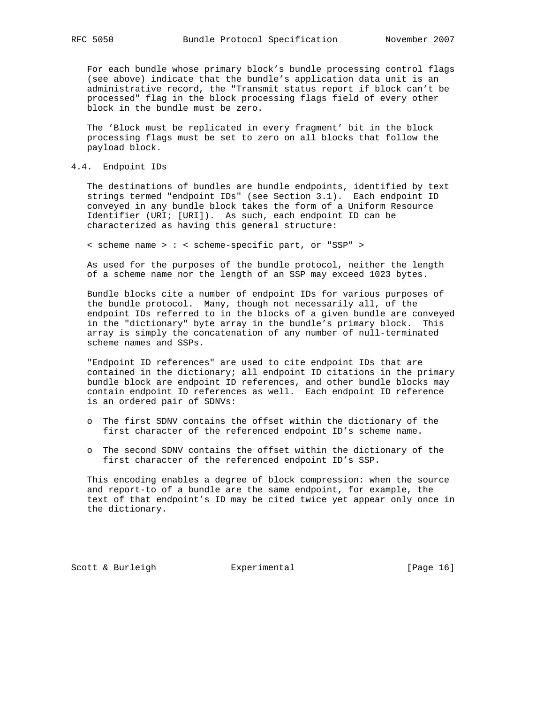For each bundle whose primary block's bundle processing control flags (see above) indicate that the bundle's application data unit is an administrative record, the "Transmit status report if block can't be processed" flag in the block processing flags field of every other block in the bundle must be zero.

 The 'Block must be replicated in every fragment' bit in the block processing flags must be set to zero on all blocks that follow the payload block.

#### 4.4. Endpoint IDs

 The destinations of bundles are bundle endpoints, identified by text strings termed "endpoint IDs" (see Section 3.1). Each endpoint ID conveyed in any bundle block takes the form of a Uniform Resource Identifier (URI; [URI]). As such, each endpoint ID can be characterized as having this general structure:

< scheme name > : < scheme-specific part, or "SSP" >

 As used for the purposes of the bundle protocol, neither the length of a scheme name nor the length of an SSP may exceed 1023 bytes.

 Bundle blocks cite a number of endpoint IDs for various purposes of the bundle protocol. Many, though not necessarily all, of the endpoint IDs referred to in the blocks of a given bundle are conveyed in the "dictionary" byte array in the bundle's primary block. This array is simply the concatenation of any number of null-terminated scheme names and SSPs.

 "Endpoint ID references" are used to cite endpoint IDs that are contained in the dictionary; all endpoint ID citations in the primary bundle block are endpoint ID references, and other bundle blocks may contain endpoint ID references as well. Each endpoint ID reference is an ordered pair of SDNVs:

- o The first SDNV contains the offset within the dictionary of the first character of the referenced endpoint ID's scheme name.
- o The second SDNV contains the offset within the dictionary of the first character of the referenced endpoint ID's SSP.

 This encoding enables a degree of block compression: when the source and report-to of a bundle are the same endpoint, for example, the text of that endpoint's ID may be cited twice yet appear only once in the dictionary.

Scott & Burleigh  $\qquad \qquad$  Experimental [Page 16]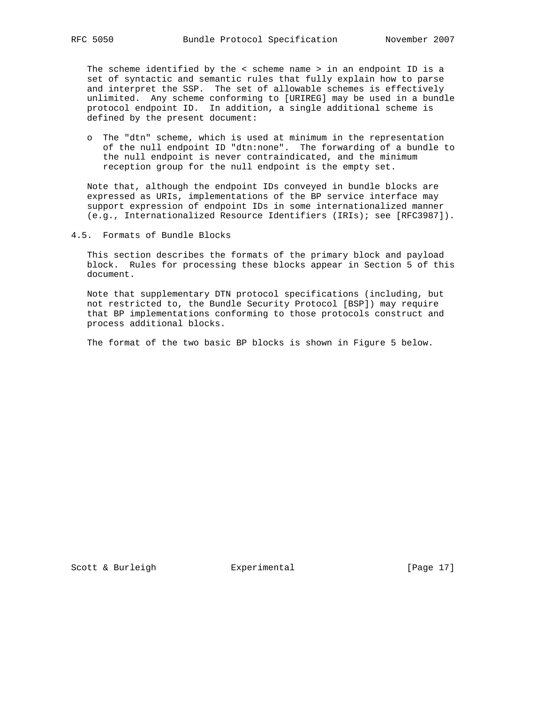The scheme identified by the < scheme name > in an endpoint ID is a set of syntactic and semantic rules that fully explain how to parse and interpret the SSP. The set of allowable schemes is effectively unlimited. Any scheme conforming to [URIREG] may be used in a bundle protocol endpoint ID. In addition, a single additional scheme is defined by the present document:

 o The "dtn" scheme, which is used at minimum in the representation of the null endpoint ID "dtn:none". The forwarding of a bundle to the null endpoint is never contraindicated, and the minimum reception group for the null endpoint is the empty set.

 Note that, although the endpoint IDs conveyed in bundle blocks are expressed as URIs, implementations of the BP service interface may support expression of endpoint IDs in some internationalized manner (e.g., Internationalized Resource Identifiers (IRIs); see [RFC3987]).

4.5. Formats of Bundle Blocks

 This section describes the formats of the primary block and payload block. Rules for processing these blocks appear in Section 5 of this document.

 Note that supplementary DTN protocol specifications (including, but not restricted to, the Bundle Security Protocol [BSP]) may require that BP implementations conforming to those protocols construct and process additional blocks.

The format of the two basic BP blocks is shown in Figure 5 below.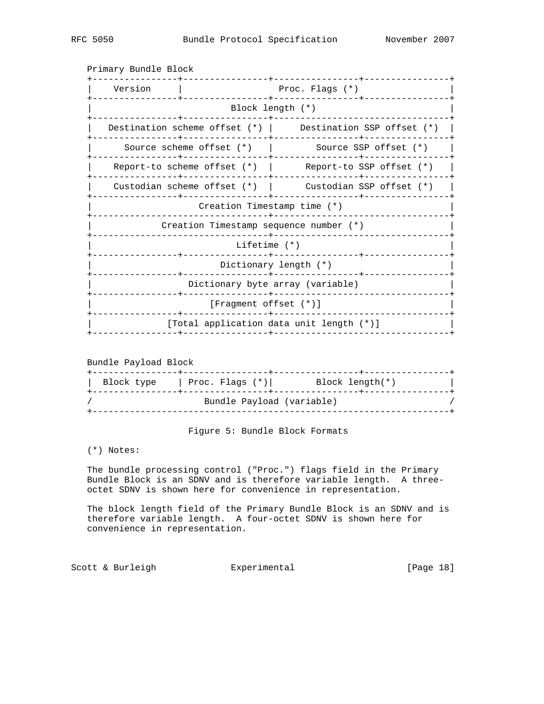| Version                          | Proc. Flags $(*)$                |                                                              |  |  |  |
|----------------------------------|----------------------------------|--------------------------------------------------------------|--|--|--|
|                                  |                                  | Block length (*)                                             |  |  |  |
|                                  |                                  | Destination scheme offset $(*)$ Destination SSP offset $(*)$ |  |  |  |
|                                  | Source scheme offset (*)         | Source SSP offset $(*)$                                      |  |  |  |
|                                  |                                  | Report-to scheme offset (*)   Report-to SSP offset (*)       |  |  |  |
|                                  |                                  | Custodian scheme offset $(*)$   Custodian SSP offset $(*)$   |  |  |  |
| Creation Timestamp time (*)      |                                  |                                                              |  |  |  |
|                                  |                                  | Creation Timestamp sequence number (*)                       |  |  |  |
|                                  | Lifetime $(*)$<br>-------------- |                                                              |  |  |  |
| Dictionary length (*)            |                                  |                                                              |  |  |  |
| Dictionary byte array (variable) |                                  |                                                              |  |  |  |
| $[Fragment offset (*)]$          |                                  |                                                              |  |  |  |
|                                  |                                  | [Total application data unit length (*)]                     |  |  |  |
|                                  |                                  |                                                              |  |  |  |

Primary Bundle Block

Bundle Payload Block

| Block type | Proc. Flags $(*)$         | Block length(*) |  |
|------------|---------------------------|-----------------|--|
|            | Bundle Payload (variable) |                 |  |

Figure 5: Bundle Block Formats

## (\*) Notes:

 The bundle processing control ("Proc.") flags field in the Primary Bundle Block is an SDNV and is therefore variable length. A three octet SDNV is shown here for convenience in representation.

 The block length field of the Primary Bundle Block is an SDNV and is therefore variable length. A four-octet SDNV is shown here for convenience in representation.

Scott & Burleigh **Experimental** [Page 18]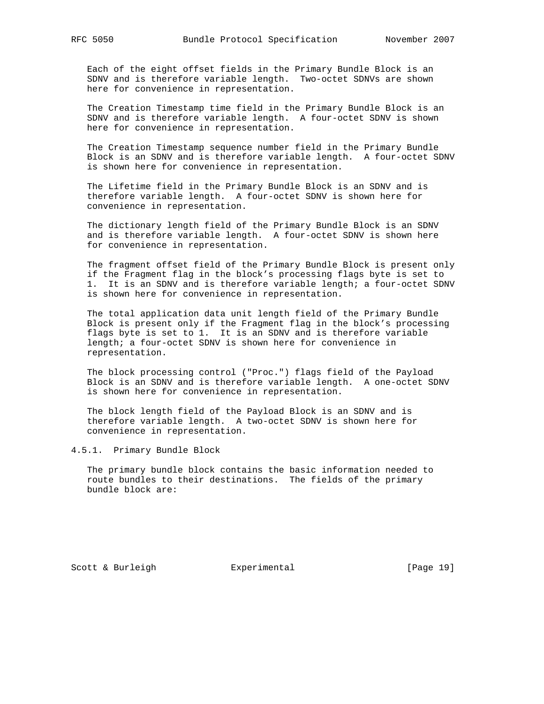Each of the eight offset fields in the Primary Bundle Block is an SDNV and is therefore variable length. Two-octet SDNVs are shown here for convenience in representation.

 The Creation Timestamp time field in the Primary Bundle Block is an SDNV and is therefore variable length. A four-octet SDNV is shown here for convenience in representation.

 The Creation Timestamp sequence number field in the Primary Bundle Block is an SDNV and is therefore variable length. A four-octet SDNV is shown here for convenience in representation.

 The Lifetime field in the Primary Bundle Block is an SDNV and is therefore variable length. A four-octet SDNV is shown here for convenience in representation.

 The dictionary length field of the Primary Bundle Block is an SDNV and is therefore variable length. A four-octet SDNV is shown here for convenience in representation.

 The fragment offset field of the Primary Bundle Block is present only if the Fragment flag in the block's processing flags byte is set to 1. It is an SDNV and is therefore variable length; a four-octet SDNV is shown here for convenience in representation.

 The total application data unit length field of the Primary Bundle Block is present only if the Fragment flag in the block's processing flags byte is set to 1. It is an SDNV and is therefore variable length; a four-octet SDNV is shown here for convenience in representation.

 The block processing control ("Proc.") flags field of the Payload Block is an SDNV and is therefore variable length. A one-octet SDNV is shown here for convenience in representation.

 The block length field of the Payload Block is an SDNV and is therefore variable length. A two-octet SDNV is shown here for convenience in representation.

4.5.1. Primary Bundle Block

 The primary bundle block contains the basic information needed to route bundles to their destinations. The fields of the primary bundle block are:

Scott & Burleigh **Experimental** [Page 19]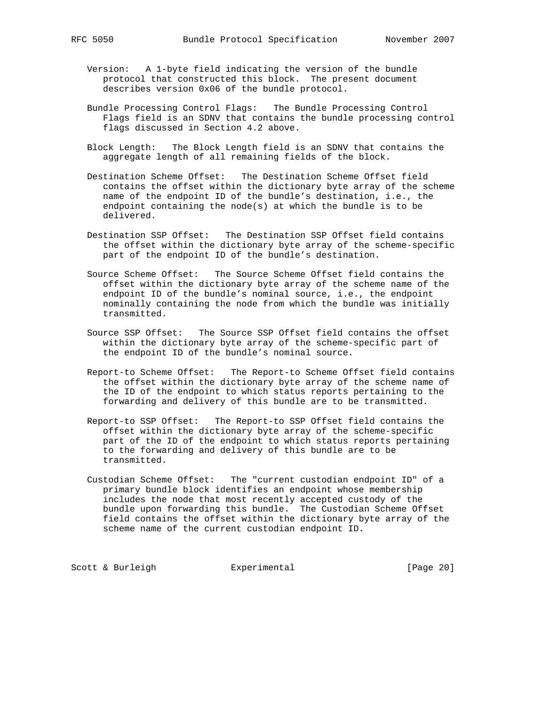- Version: A 1-byte field indicating the version of the bundle protocol that constructed this block. The present document describes version 0x06 of the bundle protocol.
- Bundle Processing Control Flags: The Bundle Processing Control Flags field is an SDNV that contains the bundle processing control flags discussed in Section 4.2 above.
- Block Length: The Block Length field is an SDNV that contains the aggregate length of all remaining fields of the block.
- Destination Scheme Offset: The Destination Scheme Offset field contains the offset within the dictionary byte array of the scheme name of the endpoint ID of the bundle's destination, i.e., the endpoint containing the node(s) at which the bundle is to be delivered.
- Destination SSP Offset: The Destination SSP Offset field contains the offset within the dictionary byte array of the scheme-specific part of the endpoint ID of the bundle's destination.
- Source Scheme Offset: The Source Scheme Offset field contains the offset within the dictionary byte array of the scheme name of the endpoint ID of the bundle's nominal source, i.e., the endpoint nominally containing the node from which the bundle was initially transmitted.
- Source SSP Offset: The Source SSP Offset field contains the offset within the dictionary byte array of the scheme-specific part of the endpoint ID of the bundle's nominal source.
- Report-to Scheme Offset: The Report-to Scheme Offset field contains the offset within the dictionary byte array of the scheme name of the ID of the endpoint to which status reports pertaining to the forwarding and delivery of this bundle are to be transmitted.
- Report-to SSP Offset: The Report-to SSP Offset field contains the offset within the dictionary byte array of the scheme-specific part of the ID of the endpoint to which status reports pertaining to the forwarding and delivery of this bundle are to be transmitted.
- Custodian Scheme Offset: The "current custodian endpoint ID" of a primary bundle block identifies an endpoint whose membership includes the node that most recently accepted custody of the bundle upon forwarding this bundle. The Custodian Scheme Offset field contains the offset within the dictionary byte array of the scheme name of the current custodian endpoint ID.

Scott & Burleigh **Experimental** [Page 20]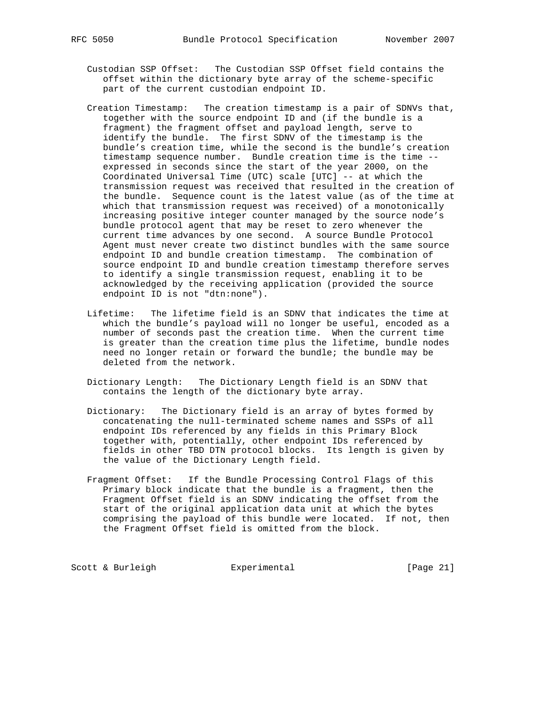- Custodian SSP Offset: The Custodian SSP Offset field contains the offset within the dictionary byte array of the scheme-specific part of the current custodian endpoint ID.
- Creation Timestamp: The creation timestamp is a pair of SDNVs that, together with the source endpoint ID and (if the bundle is a fragment) the fragment offset and payload length, serve to identify the bundle. The first SDNV of the timestamp is the bundle's creation time, while the second is the bundle's creation timestamp sequence number. Bundle creation time is the time - expressed in seconds since the start of the year 2000, on the Coordinated Universal Time (UTC) scale [UTC] -- at which the transmission request was received that resulted in the creation of the bundle. Sequence count is the latest value (as of the time at which that transmission request was received) of a monotonically increasing positive integer counter managed by the source node's bundle protocol agent that may be reset to zero whenever the current time advances by one second. A source Bundle Protocol Agent must never create two distinct bundles with the same source endpoint ID and bundle creation timestamp. The combination of source endpoint ID and bundle creation timestamp therefore serves to identify a single transmission request, enabling it to be acknowledged by the receiving application (provided the source endpoint ID is not "dtn:none").
- Lifetime: The lifetime field is an SDNV that indicates the time at which the bundle's payload will no longer be useful, encoded as a number of seconds past the creation time. When the current time is greater than the creation time plus the lifetime, bundle nodes need no longer retain or forward the bundle; the bundle may be deleted from the network.
- Dictionary Length: The Dictionary Length field is an SDNV that contains the length of the dictionary byte array.
- Dictionary: The Dictionary field is an array of bytes formed by concatenating the null-terminated scheme names and SSPs of all endpoint IDs referenced by any fields in this Primary Block together with, potentially, other endpoint IDs referenced by fields in other TBD DTN protocol blocks. Its length is given by the value of the Dictionary Length field.
- Fragment Offset: If the Bundle Processing Control Flags of this Primary block indicate that the bundle is a fragment, then the Fragment Offset field is an SDNV indicating the offset from the start of the original application data unit at which the bytes comprising the payload of this bundle were located. If not, then the Fragment Offset field is omitted from the block.

Scott & Burleigh **Experimental** [Page 21]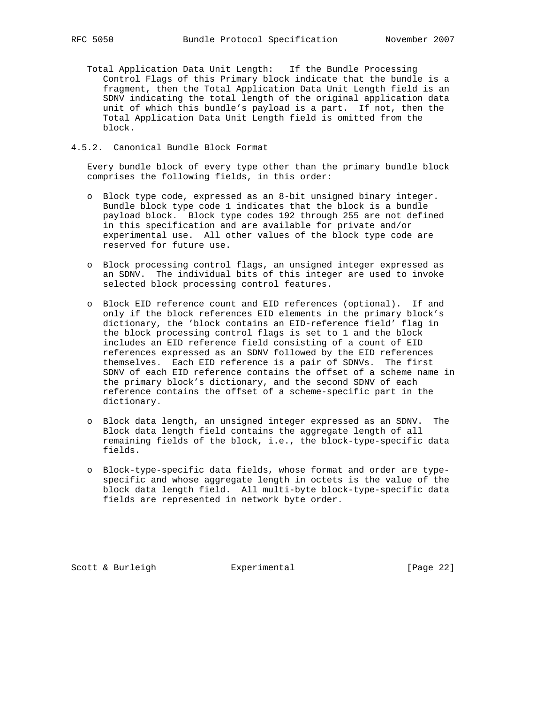Total Application Data Unit Length: If the Bundle Processing Control Flags of this Primary block indicate that the bundle is a fragment, then the Total Application Data Unit Length field is an SDNV indicating the total length of the original application data unit of which this bundle's payload is a part. If not, then the Total Application Data Unit Length field is omitted from the block.

#### 4.5.2. Canonical Bundle Block Format

 Every bundle block of every type other than the primary bundle block comprises the following fields, in this order:

- o Block type code, expressed as an 8-bit unsigned binary integer. Bundle block type code 1 indicates that the block is a bundle payload block. Block type codes 192 through 255 are not defined in this specification and are available for private and/or experimental use. All other values of the block type code are reserved for future use.
- o Block processing control flags, an unsigned integer expressed as an SDNV. The individual bits of this integer are used to invoke selected block processing control features.
- o Block EID reference count and EID references (optional). If and only if the block references EID elements in the primary block's dictionary, the 'block contains an EID-reference field' flag in the block processing control flags is set to 1 and the block includes an EID reference field consisting of a count of EID references expressed as an SDNV followed by the EID references themselves. Each EID reference is a pair of SDNVs. The first SDNV of each EID reference contains the offset of a scheme name in the primary block's dictionary, and the second SDNV of each reference contains the offset of a scheme-specific part in the dictionary.
- o Block data length, an unsigned integer expressed as an SDNV. The Block data length field contains the aggregate length of all remaining fields of the block, i.e., the block-type-specific data fields.
- o Block-type-specific data fields, whose format and order are type specific and whose aggregate length in octets is the value of the block data length field. All multi-byte block-type-specific data fields are represented in network byte order.

Scott & Burleigh **Experimental** [Page 22]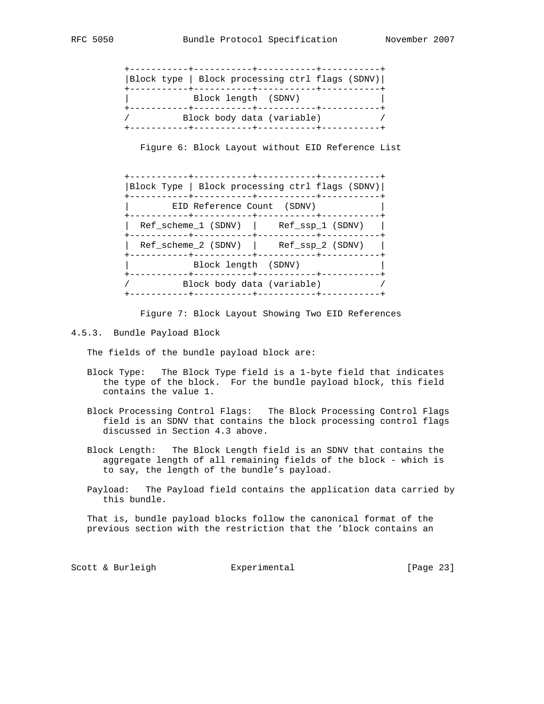| Block type   Block processing ctrl flags (SDNV) |  |  |
|-------------------------------------------------|--|--|
| Block length (SDNV)                             |  |  |
| Block body data (variable)                      |  |  |

Figure 6: Block Layout without EID Reference List

|                                          | . _ _ _ _ + _ _ _ _ _ _ _ _ _ _ _ + _ _ _ _ _ _ _ _ _ _ _ _ + _ _ _ _ _ _ _ _ _<br> Block Type   Block processing ctrl flags (SDNV) |
|------------------------------------------|-------------------------------------------------------------------------------------------------------------------------------------|
| EID Reference Count (SDNV)               |                                                                                                                                     |
| Ref scheme 1 (SDNV)   Ref ssp 1 (SDNV)   |                                                                                                                                     |
| $Ref$ scheme 2 (SDNV) $Ref$ ssp 2 (SDNV) |                                                                                                                                     |
| Block length (SDNV)                      |                                                                                                                                     |
| Block body data (variable)               |                                                                                                                                     |

Figure 7: Block Layout Showing Two EID References

4.5.3. Bundle Payload Block

The fields of the bundle payload block are:

- Block Type: The Block Type field is a 1-byte field that indicates the type of the block. For the bundle payload block, this field contains the value 1.
- Block Processing Control Flags: The Block Processing Control Flags field is an SDNV that contains the block processing control flags discussed in Section 4.3 above.
- Block Length: The Block Length field is an SDNV that contains the aggregate length of all remaining fields of the block - which is to say, the length of the bundle's payload.
- Payload: The Payload field contains the application data carried by this bundle.

 That is, bundle payload blocks follow the canonical format of the previous section with the restriction that the 'block contains an

Scott & Burleigh **Experimental** [Page 23]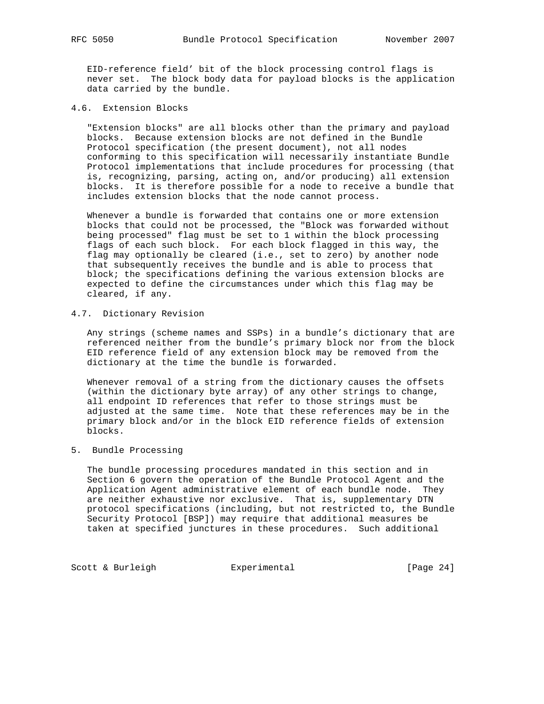EID-reference field' bit of the block processing control flags is never set. The block body data for payload blocks is the application data carried by the bundle.

4.6. Extension Blocks

 "Extension blocks" are all blocks other than the primary and payload blocks. Because extension blocks are not defined in the Bundle Protocol specification (the present document), not all nodes conforming to this specification will necessarily instantiate Bundle Protocol implementations that include procedures for processing (that is, recognizing, parsing, acting on, and/or producing) all extension blocks. It is therefore possible for a node to receive a bundle that includes extension blocks that the node cannot process.

 Whenever a bundle is forwarded that contains one or more extension blocks that could not be processed, the "Block was forwarded without being processed" flag must be set to 1 within the block processing flags of each such block. For each block flagged in this way, the flag may optionally be cleared (i.e., set to zero) by another node that subsequently receives the bundle and is able to process that block; the specifications defining the various extension blocks are expected to define the circumstances under which this flag may be cleared, if any.

### 4.7. Dictionary Revision

 Any strings (scheme names and SSPs) in a bundle's dictionary that are referenced neither from the bundle's primary block nor from the block EID reference field of any extension block may be removed from the dictionary at the time the bundle is forwarded.

 Whenever removal of a string from the dictionary causes the offsets (within the dictionary byte array) of any other strings to change, all endpoint ID references that refer to those strings must be adjusted at the same time. Note that these references may be in the primary block and/or in the block EID reference fields of extension blocks.

#### 5. Bundle Processing

 The bundle processing procedures mandated in this section and in Section 6 govern the operation of the Bundle Protocol Agent and the Application Agent administrative element of each bundle node. They are neither exhaustive nor exclusive. That is, supplementary DTN protocol specifications (including, but not restricted to, the Bundle Security Protocol [BSP]) may require that additional measures be taken at specified junctures in these procedures. Such additional

Scott & Burleigh **Experimental** [Page 24]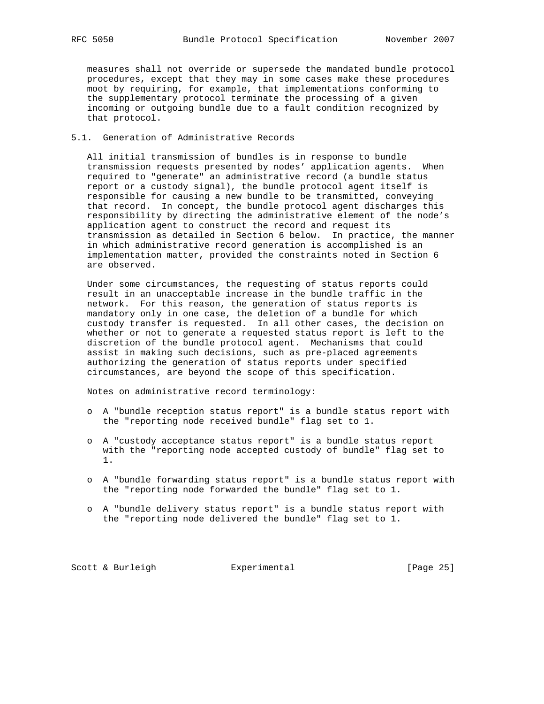measures shall not override or supersede the mandated bundle protocol procedures, except that they may in some cases make these procedures moot by requiring, for example, that implementations conforming to the supplementary protocol terminate the processing of a given incoming or outgoing bundle due to a fault condition recognized by that protocol.

## 5.1. Generation of Administrative Records

 All initial transmission of bundles is in response to bundle transmission requests presented by nodes' application agents. When required to "generate" an administrative record (a bundle status report or a custody signal), the bundle protocol agent itself is responsible for causing a new bundle to be transmitted, conveying that record. In concept, the bundle protocol agent discharges this responsibility by directing the administrative element of the node's application agent to construct the record and request its transmission as detailed in Section 6 below. In practice, the manner in which administrative record generation is accomplished is an implementation matter, provided the constraints noted in Section 6 are observed.

 Under some circumstances, the requesting of status reports could result in an unacceptable increase in the bundle traffic in the network. For this reason, the generation of status reports is mandatory only in one case, the deletion of a bundle for which custody transfer is requested. In all other cases, the decision on whether or not to generate a requested status report is left to the discretion of the bundle protocol agent. Mechanisms that could assist in making such decisions, such as pre-placed agreements authorizing the generation of status reports under specified circumstances, are beyond the scope of this specification.

Notes on administrative record terminology:

- o A "bundle reception status report" is a bundle status report with the "reporting node received bundle" flag set to 1.
- o A "custody acceptance status report" is a bundle status report with the "reporting node accepted custody of bundle" flag set to 1.
- o A "bundle forwarding status report" is a bundle status report with the "reporting node forwarded the bundle" flag set to 1.
- o A "bundle delivery status report" is a bundle status report with the "reporting node delivered the bundle" flag set to 1.

Scott & Burleigh **Experimental** [Page 25]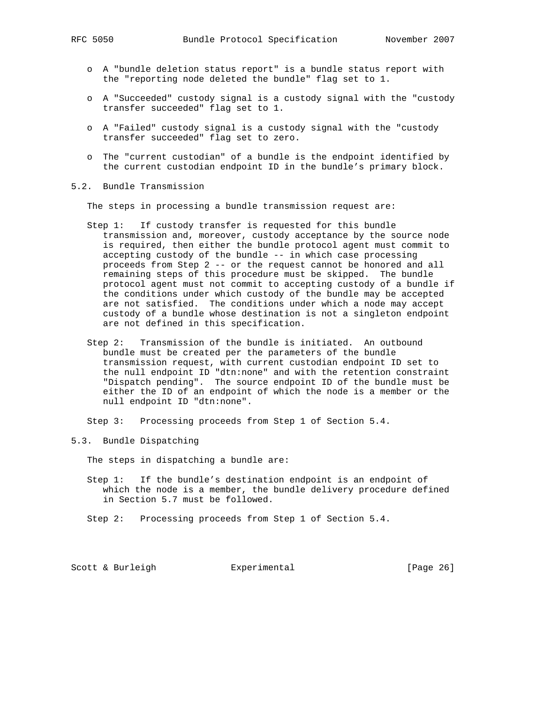- o A "bundle deletion status report" is a bundle status report with the "reporting node deleted the bundle" flag set to 1.
- o A "Succeeded" custody signal is a custody signal with the "custody transfer succeeded" flag set to 1.
- o A "Failed" custody signal is a custody signal with the "custody transfer succeeded" flag set to zero.
- o The "current custodian" of a bundle is the endpoint identified by the current custodian endpoint ID in the bundle's primary block.
- 5.2. Bundle Transmission

The steps in processing a bundle transmission request are:

- Step 1: If custody transfer is requested for this bundle transmission and, moreover, custody acceptance by the source node is required, then either the bundle protocol agent must commit to accepting custody of the bundle -- in which case processing proceeds from Step 2 -- or the request cannot be honored and all remaining steps of this procedure must be skipped. The bundle protocol agent must not commit to accepting custody of a bundle if the conditions under which custody of the bundle may be accepted are not satisfied. The conditions under which a node may accept custody of a bundle whose destination is not a singleton endpoint are not defined in this specification.
- Step 2: Transmission of the bundle is initiated. An outbound bundle must be created per the parameters of the bundle transmission request, with current custodian endpoint ID set to the null endpoint ID "dtn:none" and with the retention constraint "Dispatch pending". The source endpoint ID of the bundle must be either the ID of an endpoint of which the node is a member or the null endpoint ID "dtn:none".

Step 3: Processing proceeds from Step 1 of Section 5.4.

5.3. Bundle Dispatching

The steps in dispatching a bundle are:

- Step 1: If the bundle's destination endpoint is an endpoint of which the node is a member, the bundle delivery procedure defined in Section 5.7 must be followed.
- Step 2: Processing proceeds from Step 1 of Section 5.4.

Scott & Burleigh **Experimental** [Page 26]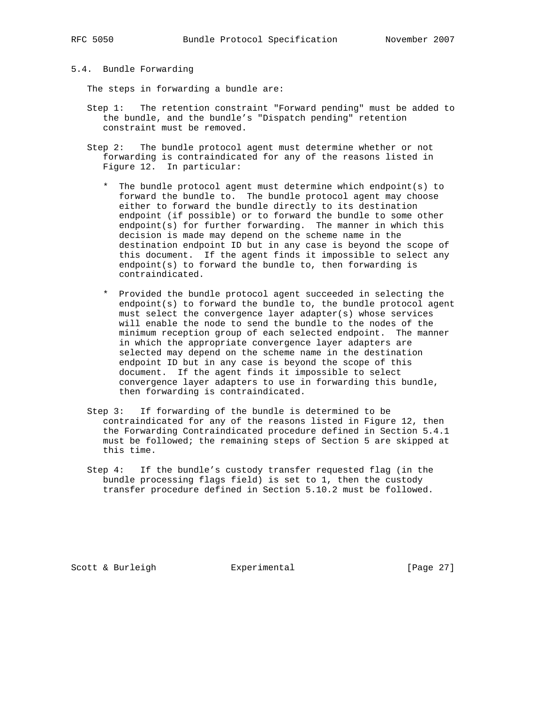## 5.4. Bundle Forwarding

The steps in forwarding a bundle are:

- Step 1: The retention constraint "Forward pending" must be added to the bundle, and the bundle's "Dispatch pending" retention constraint must be removed.
- Step 2: The bundle protocol agent must determine whether or not forwarding is contraindicated for any of the reasons listed in Figure 12. In particular:
	- \* The bundle protocol agent must determine which endpoint(s) to forward the bundle to. The bundle protocol agent may choose either to forward the bundle directly to its destination endpoint (if possible) or to forward the bundle to some other endpoint(s) for further forwarding. The manner in which this decision is made may depend on the scheme name in the destination endpoint ID but in any case is beyond the scope of this document. If the agent finds it impossible to select any endpoint(s) to forward the bundle to, then forwarding is contraindicated.
	- \* Provided the bundle protocol agent succeeded in selecting the endpoint(s) to forward the bundle to, the bundle protocol agent must select the convergence layer adapter(s) whose services will enable the node to send the bundle to the nodes of the minimum reception group of each selected endpoint. The manner in which the appropriate convergence layer adapters are selected may depend on the scheme name in the destination endpoint ID but in any case is beyond the scope of this document. If the agent finds it impossible to select convergence layer adapters to use in forwarding this bundle, then forwarding is contraindicated.
- Step 3: If forwarding of the bundle is determined to be contraindicated for any of the reasons listed in Figure 12, then the Forwarding Contraindicated procedure defined in Section 5.4.1 must be followed; the remaining steps of Section 5 are skipped at this time.
- Step 4: If the bundle's custody transfer requested flag (in the bundle processing flags field) is set to 1, then the custody transfer procedure defined in Section 5.10.2 must be followed.

Scott & Burleigh  $\qquad \qquad$  Experimental [Page 27]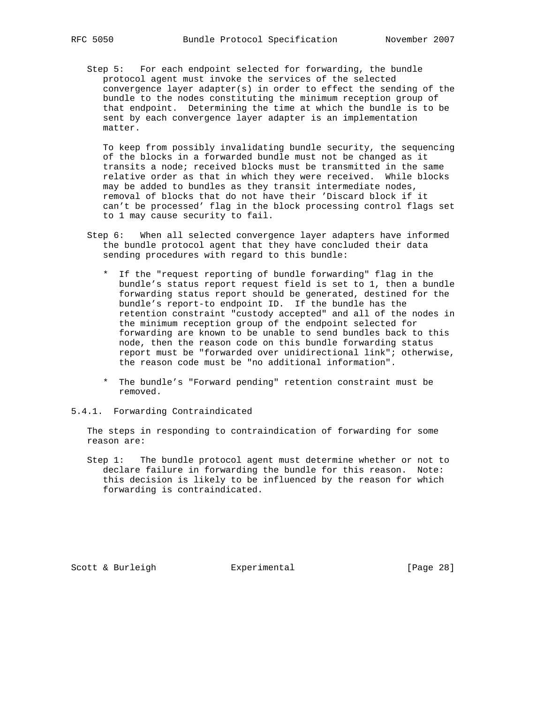Step 5: For each endpoint selected for forwarding, the bundle protocol agent must invoke the services of the selected convergence layer adapter(s) in order to effect the sending of the bundle to the nodes constituting the minimum reception group of that endpoint. Determining the time at which the bundle is to be sent by each convergence layer adapter is an implementation matter.

 To keep from possibly invalidating bundle security, the sequencing of the blocks in a forwarded bundle must not be changed as it transits a node; received blocks must be transmitted in the same relative order as that in which they were received. While blocks may be added to bundles as they transit intermediate nodes, removal of blocks that do not have their 'Discard block if it can't be processed' flag in the block processing control flags set to 1 may cause security to fail.

- Step 6: When all selected convergence layer adapters have informed the bundle protocol agent that they have concluded their data sending procedures with regard to this bundle:
	- \* If the "request reporting of bundle forwarding" flag in the bundle's status report request field is set to 1, then a bundle forwarding status report should be generated, destined for the bundle's report-to endpoint ID. If the bundle has the retention constraint "custody accepted" and all of the nodes in the minimum reception group of the endpoint selected for forwarding are known to be unable to send bundles back to this node, then the reason code on this bundle forwarding status report must be "forwarded over unidirectional link"; otherwise, the reason code must be "no additional information".
	- \* The bundle's "Forward pending" retention constraint must be removed.
- 5.4.1. Forwarding Contraindicated

 The steps in responding to contraindication of forwarding for some reason are:

 Step 1: The bundle protocol agent must determine whether or not to declare failure in forwarding the bundle for this reason. Note: this decision is likely to be influenced by the reason for which forwarding is contraindicated.

Scott & Burleigh  $\qquad \qquad$  Experimental [Page 28]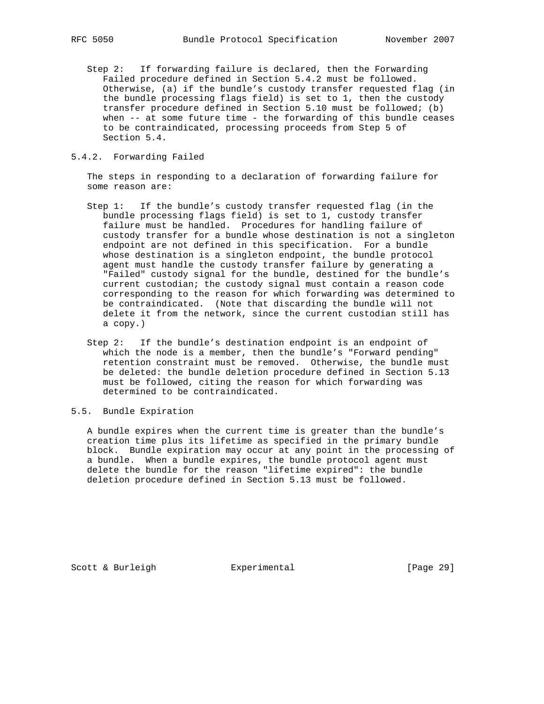Step 2: If forwarding failure is declared, then the Forwarding Failed procedure defined in Section 5.4.2 must be followed. Otherwise, (a) if the bundle's custody transfer requested flag (in the bundle processing flags field) is set to 1, then the custody transfer procedure defined in Section 5.10 must be followed; (b) when -- at some future time - the forwarding of this bundle ceases to be contraindicated, processing proceeds from Step 5 of Section 5.4.

#### 5.4.2. Forwarding Failed

 The steps in responding to a declaration of forwarding failure for some reason are:

- Step 1: If the bundle's custody transfer requested flag (in the bundle processing flags field) is set to 1, custody transfer failure must be handled. Procedures for handling failure of custody transfer for a bundle whose destination is not a singleton endpoint are not defined in this specification. For a bundle whose destination is a singleton endpoint, the bundle protocol agent must handle the custody transfer failure by generating a "Failed" custody signal for the bundle, destined for the bundle's current custodian; the custody signal must contain a reason code corresponding to the reason for which forwarding was determined to be contraindicated. (Note that discarding the bundle will not delete it from the network, since the current custodian still has a copy.)
- Step 2: If the bundle's destination endpoint is an endpoint of which the node is a member, then the bundle's "Forward pending" retention constraint must be removed. Otherwise, the bundle must be deleted: the bundle deletion procedure defined in Section 5.13 must be followed, citing the reason for which forwarding was determined to be contraindicated.

#### 5.5. Bundle Expiration

 A bundle expires when the current time is greater than the bundle's creation time plus its lifetime as specified in the primary bundle block. Bundle expiration may occur at any point in the processing of a bundle. When a bundle expires, the bundle protocol agent must delete the bundle for the reason "lifetime expired": the bundle deletion procedure defined in Section 5.13 must be followed.

Scott & Burleigh  $\qquad \qquad$  Experimental [Page 29]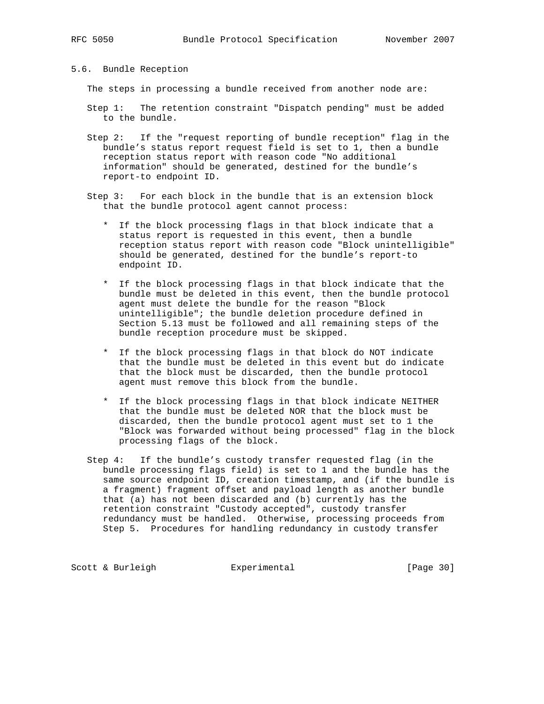## 5.6. Bundle Reception

The steps in processing a bundle received from another node are:

- Step 1: The retention constraint "Dispatch pending" must be added to the bundle.
- Step 2: If the "request reporting of bundle reception" flag in the bundle's status report request field is set to 1, then a bundle reception status report with reason code "No additional information" should be generated, destined for the bundle's report-to endpoint ID.
- Step 3: For each block in the bundle that is an extension block that the bundle protocol agent cannot process:
	- \* If the block processing flags in that block indicate that a status report is requested in this event, then a bundle reception status report with reason code "Block unintelligible" should be generated, destined for the bundle's report-to endpoint ID.
	- \* If the block processing flags in that block indicate that the bundle must be deleted in this event, then the bundle protocol agent must delete the bundle for the reason "Block unintelligible"; the bundle deletion procedure defined in Section 5.13 must be followed and all remaining steps of the bundle reception procedure must be skipped.
	- \* If the block processing flags in that block do NOT indicate that the bundle must be deleted in this event but do indicate that the block must be discarded, then the bundle protocol agent must remove this block from the bundle.
	- \* If the block processing flags in that block indicate NEITHER that the bundle must be deleted NOR that the block must be discarded, then the bundle protocol agent must set to 1 the "Block was forwarded without being processed" flag in the block processing flags of the block.
- Step 4: If the bundle's custody transfer requested flag (in the bundle processing flags field) is set to 1 and the bundle has the same source endpoint ID, creation timestamp, and (if the bundle is a fragment) fragment offset and payload length as another bundle that (a) has not been discarded and (b) currently has the retention constraint "Custody accepted", custody transfer redundancy must be handled. Otherwise, processing proceeds from Step 5. Procedures for handling redundancy in custody transfer

Scott & Burleigh **Experimental** [Page 30]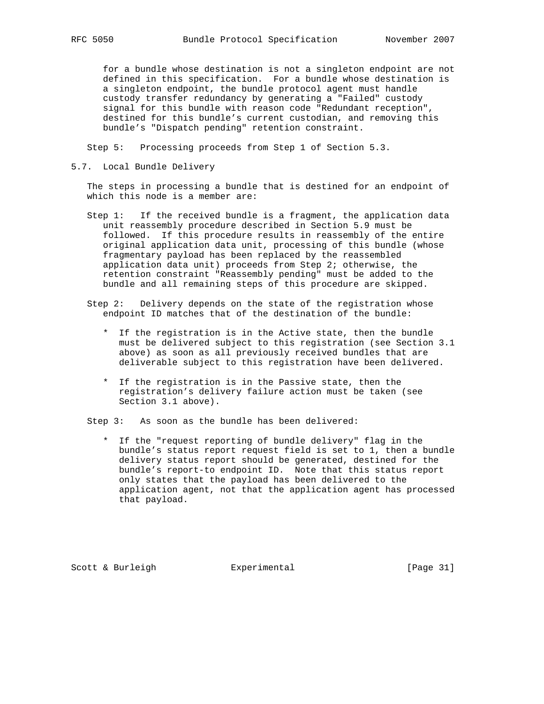for a bundle whose destination is not a singleton endpoint are not defined in this specification. For a bundle whose destination is a singleton endpoint, the bundle protocol agent must handle custody transfer redundancy by generating a "Failed" custody signal for this bundle with reason code "Redundant reception", destined for this bundle's current custodian, and removing this bundle's "Dispatch pending" retention constraint.

Step 5: Processing proceeds from Step 1 of Section 5.3.

5.7. Local Bundle Delivery

 The steps in processing a bundle that is destined for an endpoint of which this node is a member are:

- Step 1: If the received bundle is a fragment, the application data unit reassembly procedure described in Section 5.9 must be followed. If this procedure results in reassembly of the entire original application data unit, processing of this bundle (whose fragmentary payload has been replaced by the reassembled application data unit) proceeds from Step 2; otherwise, the retention constraint "Reassembly pending" must be added to the bundle and all remaining steps of this procedure are skipped.
- Step 2: Delivery depends on the state of the registration whose endpoint ID matches that of the destination of the bundle:
	- \* If the registration is in the Active state, then the bundle must be delivered subject to this registration (see Section 3.1 above) as soon as all previously received bundles that are deliverable subject to this registration have been delivered.
	- \* If the registration is in the Passive state, then the registration's delivery failure action must be taken (see Section 3.1 above).

Step 3: As soon as the bundle has been delivered:

 \* If the "request reporting of bundle delivery" flag in the bundle's status report request field is set to 1, then a bundle delivery status report should be generated, destined for the bundle's report-to endpoint ID. Note that this status report only states that the payload has been delivered to the application agent, not that the application agent has processed that payload.

Scott & Burleigh  $\qquad \qquad$  Experimental [Page 31]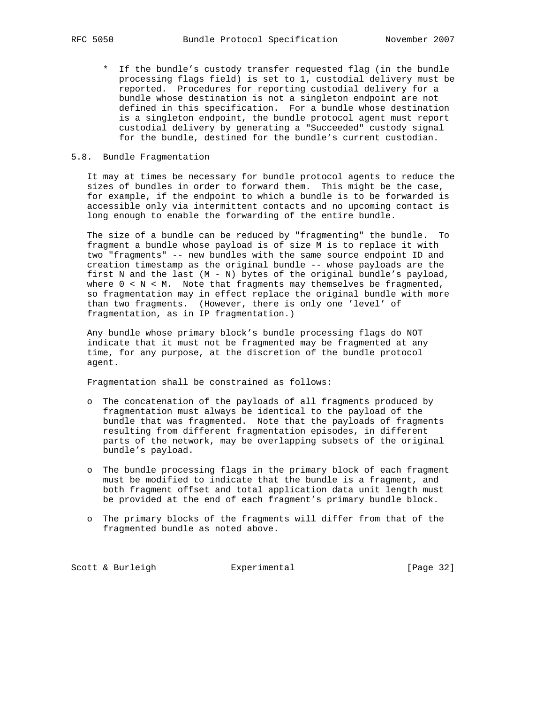\* If the bundle's custody transfer requested flag (in the bundle processing flags field) is set to 1, custodial delivery must be reported. Procedures for reporting custodial delivery for a bundle whose destination is not a singleton endpoint are not defined in this specification. For a bundle whose destination is a singleton endpoint, the bundle protocol agent must report custodial delivery by generating a "Succeeded" custody signal for the bundle, destined for the bundle's current custodian.

#### 5.8. Bundle Fragmentation

 It may at times be necessary for bundle protocol agents to reduce the sizes of bundles in order to forward them. This might be the case, for example, if the endpoint to which a bundle is to be forwarded is accessible only via intermittent contacts and no upcoming contact is long enough to enable the forwarding of the entire bundle.

 The size of a bundle can be reduced by "fragmenting" the bundle. To fragment a bundle whose payload is of size M is to replace it with two "fragments" -- new bundles with the same source endpoint ID and creation timestamp as the original bundle -- whose payloads are the first N and the last (M - N) bytes of the original bundle's payload, where  $0 < N < M$ . Note that fragments may themselves be fragmented, so fragmentation may in effect replace the original bundle with more than two fragments. (However, there is only one 'level' of fragmentation, as in IP fragmentation.)

 Any bundle whose primary block's bundle processing flags do NOT indicate that it must not be fragmented may be fragmented at any time, for any purpose, at the discretion of the bundle protocol agent.

Fragmentation shall be constrained as follows:

- o The concatenation of the payloads of all fragments produced by fragmentation must always be identical to the payload of the bundle that was fragmented. Note that the payloads of fragments resulting from different fragmentation episodes, in different parts of the network, may be overlapping subsets of the original bundle's payload.
- o The bundle processing flags in the primary block of each fragment must be modified to indicate that the bundle is a fragment, and both fragment offset and total application data unit length must be provided at the end of each fragment's primary bundle block.
- o The primary blocks of the fragments will differ from that of the fragmented bundle as noted above.

Scott & Burleigh **Experimental** [Page 32]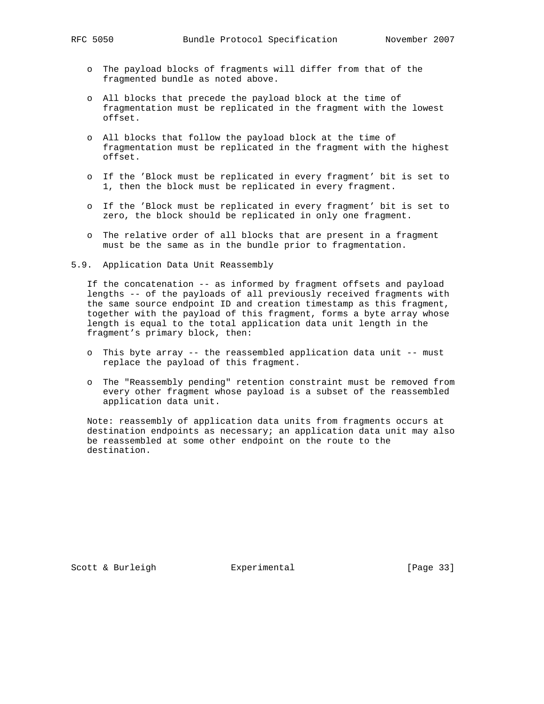- o The payload blocks of fragments will differ from that of the fragmented bundle as noted above.
- o All blocks that precede the payload block at the time of fragmentation must be replicated in the fragment with the lowest offset.
- o All blocks that follow the payload block at the time of fragmentation must be replicated in the fragment with the highest offset.
- o If the 'Block must be replicated in every fragment' bit is set to 1, then the block must be replicated in every fragment.
- o If the 'Block must be replicated in every fragment' bit is set to zero, the block should be replicated in only one fragment.
- o The relative order of all blocks that are present in a fragment must be the same as in the bundle prior to fragmentation.
- 5.9. Application Data Unit Reassembly

 If the concatenation -- as informed by fragment offsets and payload lengths -- of the payloads of all previously received fragments with the same source endpoint ID and creation timestamp as this fragment, together with the payload of this fragment, forms a byte array whose length is equal to the total application data unit length in the fragment's primary block, then:

- o This byte array -- the reassembled application data unit -- must replace the payload of this fragment.
- o The "Reassembly pending" retention constraint must be removed from every other fragment whose payload is a subset of the reassembled application data unit.

 Note: reassembly of application data units from fragments occurs at destination endpoints as necessary; an application data unit may also be reassembled at some other endpoint on the route to the destination.

Scott & Burleigh  $\qquad \qquad$  Experimental [Page 33]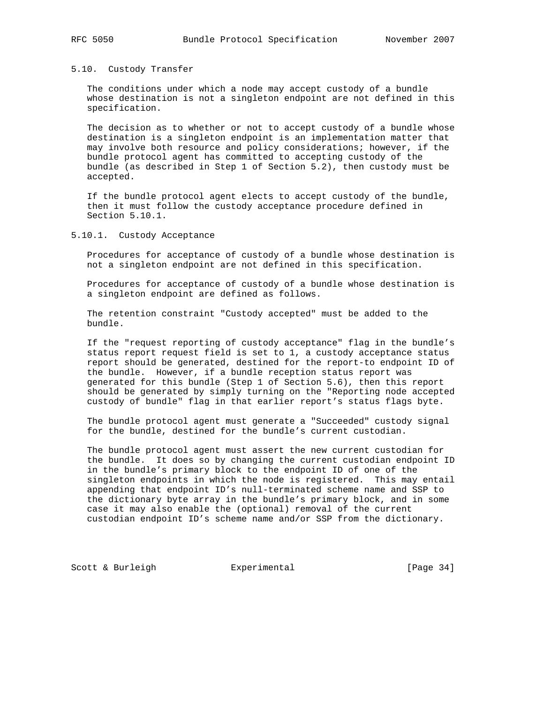### 5.10. Custody Transfer

 The conditions under which a node may accept custody of a bundle whose destination is not a singleton endpoint are not defined in this specification.

 The decision as to whether or not to accept custody of a bundle whose destination is a singleton endpoint is an implementation matter that may involve both resource and policy considerations; however, if the bundle protocol agent has committed to accepting custody of the bundle (as described in Step 1 of Section 5.2), then custody must be accepted.

 If the bundle protocol agent elects to accept custody of the bundle, then it must follow the custody acceptance procedure defined in Section 5.10.1.

5.10.1. Custody Acceptance

 Procedures for acceptance of custody of a bundle whose destination is not a singleton endpoint are not defined in this specification.

 Procedures for acceptance of custody of a bundle whose destination is a singleton endpoint are defined as follows.

 The retention constraint "Custody accepted" must be added to the bundle.

 If the "request reporting of custody acceptance" flag in the bundle's status report request field is set to 1, a custody acceptance status report should be generated, destined for the report-to endpoint ID of the bundle. However, if a bundle reception status report was generated for this bundle (Step 1 of Section 5.6), then this report should be generated by simply turning on the "Reporting node accepted custody of bundle" flag in that earlier report's status flags byte.

 The bundle protocol agent must generate a "Succeeded" custody signal for the bundle, destined for the bundle's current custodian.

 The bundle protocol agent must assert the new current custodian for the bundle. It does so by changing the current custodian endpoint ID in the bundle's primary block to the endpoint ID of one of the singleton endpoints in which the node is registered. This may entail appending that endpoint ID's null-terminated scheme name and SSP to the dictionary byte array in the bundle's primary block, and in some case it may also enable the (optional) removal of the current custodian endpoint ID's scheme name and/or SSP from the dictionary.

Scott & Burleigh **Experimental** [Page 34]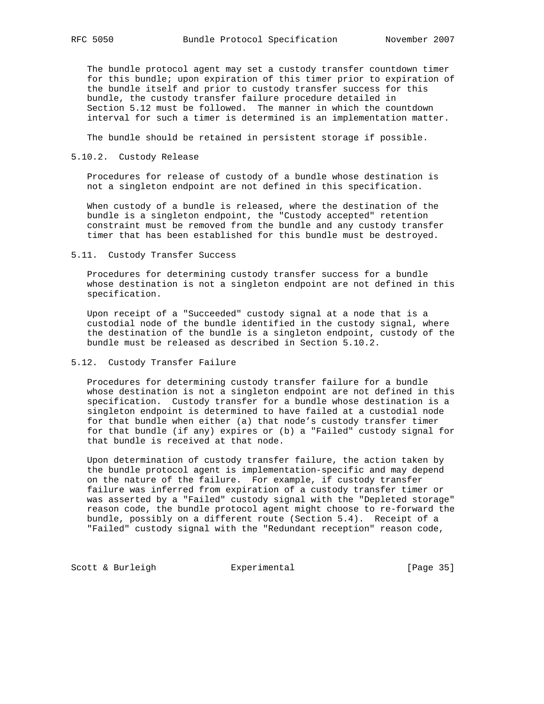The bundle protocol agent may set a custody transfer countdown timer for this bundle; upon expiration of this timer prior to expiration of the bundle itself and prior to custody transfer success for this bundle, the custody transfer failure procedure detailed in Section 5.12 must be followed. The manner in which the countdown interval for such a timer is determined is an implementation matter.

The bundle should be retained in persistent storage if possible.

#### 5.10.2. Custody Release

 Procedures for release of custody of a bundle whose destination is not a singleton endpoint are not defined in this specification.

 When custody of a bundle is released, where the destination of the bundle is a singleton endpoint, the "Custody accepted" retention constraint must be removed from the bundle and any custody transfer timer that has been established for this bundle must be destroyed.

#### 5.11. Custody Transfer Success

 Procedures for determining custody transfer success for a bundle whose destination is not a singleton endpoint are not defined in this specification.

 Upon receipt of a "Succeeded" custody signal at a node that is a custodial node of the bundle identified in the custody signal, where the destination of the bundle is a singleton endpoint, custody of the bundle must be released as described in Section 5.10.2.

#### 5.12. Custody Transfer Failure

 Procedures for determining custody transfer failure for a bundle whose destination is not a singleton endpoint are not defined in this specification. Custody transfer for a bundle whose destination is a singleton endpoint is determined to have failed at a custodial node for that bundle when either (a) that node's custody transfer timer for that bundle (if any) expires or (b) a "Failed" custody signal for that bundle is received at that node.

 Upon determination of custody transfer failure, the action taken by the bundle protocol agent is implementation-specific and may depend on the nature of the failure. For example, if custody transfer failure was inferred from expiration of a custody transfer timer or was asserted by a "Failed" custody signal with the "Depleted storage" reason code, the bundle protocol agent might choose to re-forward the bundle, possibly on a different route (Section 5.4). Receipt of a "Failed" custody signal with the "Redundant reception" reason code,

Scott & Burleigh **Experimental** [Page 35]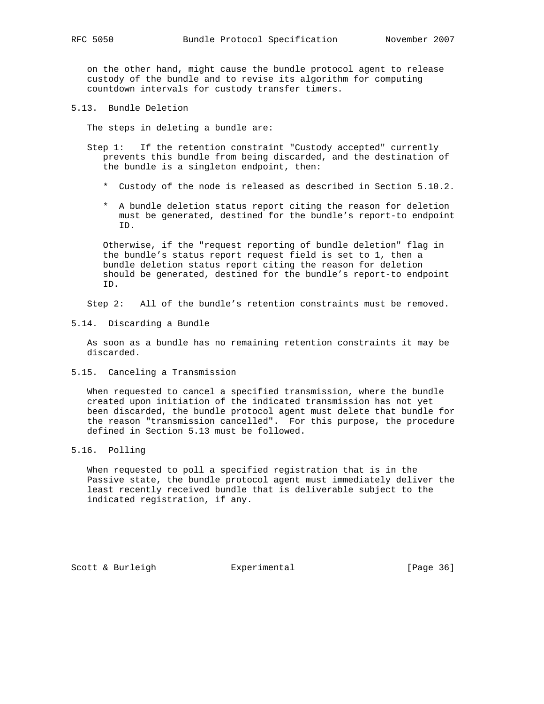on the other hand, might cause the bundle protocol agent to release custody of the bundle and to revise its algorithm for computing countdown intervals for custody transfer timers.

5.13. Bundle Deletion

The steps in deleting a bundle are:

- Step 1: If the retention constraint "Custody accepted" currently prevents this bundle from being discarded, and the destination of the bundle is a singleton endpoint, then:
	- \* Custody of the node is released as described in Section 5.10.2.
	- \* A bundle deletion status report citing the reason for deletion must be generated, destined for the bundle's report-to endpoint ID.

 Otherwise, if the "request reporting of bundle deletion" flag in the bundle's status report request field is set to 1, then a bundle deletion status report citing the reason for deletion should be generated, destined for the bundle's report-to endpoint ID.

Step 2: All of the bundle's retention constraints must be removed.

5.14. Discarding a Bundle

 As soon as a bundle has no remaining retention constraints it may be discarded.

5.15. Canceling a Transmission

 When requested to cancel a specified transmission, where the bundle created upon initiation of the indicated transmission has not yet been discarded, the bundle protocol agent must delete that bundle for the reason "transmission cancelled". For this purpose, the procedure defined in Section 5.13 must be followed.

5.16. Polling

 When requested to poll a specified registration that is in the Passive state, the bundle protocol agent must immediately deliver the least recently received bundle that is deliverable subject to the indicated registration, if any.

Scott & Burleigh  $\qquad \qquad$  Experimental [Page 36]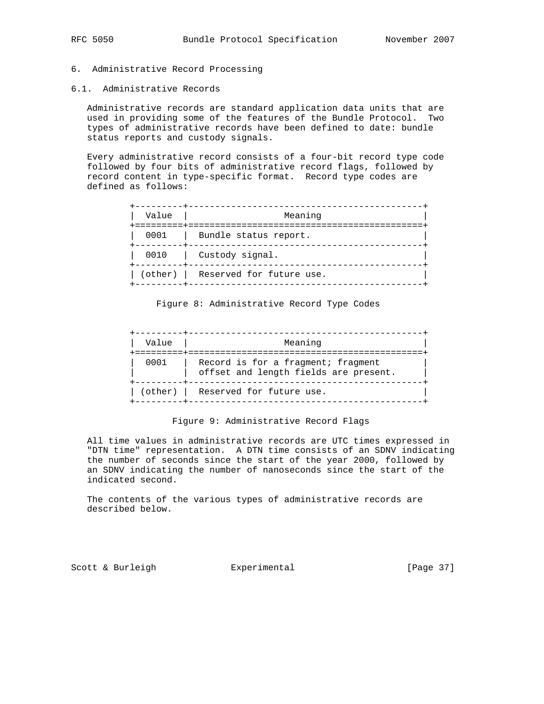## 6. Administrative Record Processing

6.1. Administrative Records

 Administrative records are standard application data units that are used in providing some of the features of the Bundle Protocol. Two types of administrative records have been defined to date: bundle status reports and custody signals.

 Every administrative record consists of a four-bit record type code followed by four bits of administrative record flags, followed by record content in type-specific format. Record type codes are defined as follows:

| Value | Meaning<br>=========================== |
|-------|----------------------------------------|
| 0001  | Bundle status report.                  |
| 0010  | Custody signal.                        |
|       | (other)   Reserved for future use.     |

#### Figure 8: Administrative Record Type Codes

| Value | Meaning<br>-------------                                                    |
|-------|-----------------------------------------------------------------------------|
| 0001  | Record is for a fragment; fragment<br>offset and length fields are present. |
|       | (other)   Reserved for future use.                                          |

#### Figure 9: Administrative Record Flags

 All time values in administrative records are UTC times expressed in "DTN time" representation. A DTN time consists of an SDNV indicating the number of seconds since the start of the year 2000, followed by an SDNV indicating the number of nanoseconds since the start of the indicated second.

 The contents of the various types of administrative records are described below.

Scott & Burleigh  $\qquad \qquad$  Experimental [Page 37]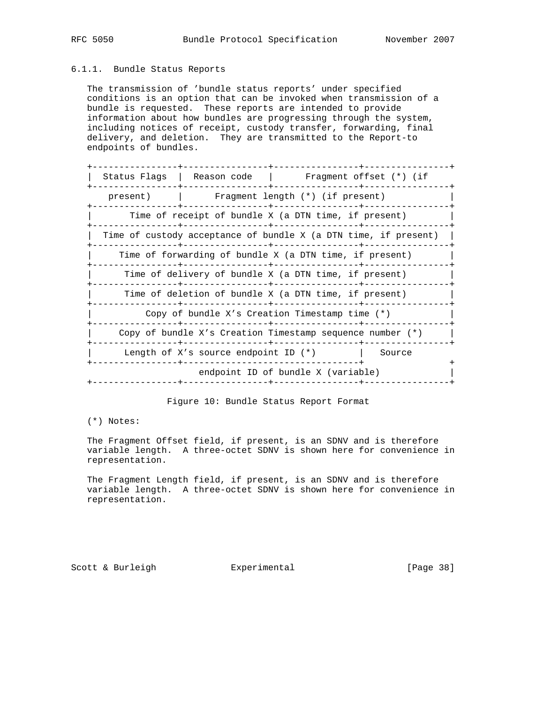## 6.1.1. Bundle Status Reports

 The transmission of 'bundle status reports' under specified conditions is an option that can be invoked when transmission of a bundle is requested. These reports are intended to provide information about how bundles are progressing through the system, including notices of receipt, custody transfer, forwarding, final delivery, and deletion. They are transmitted to the Report-to endpoints of bundles.

|          | Status Flags   Reason code   Fragment offset (*) (if            |                                    |        |
|----------|-----------------------------------------------------------------|------------------------------------|--------|
| present) | Fraqment length (*) (if present)                                |                                    |        |
|          | Time of receipt of bundle X (a DTN time, if present)            |                                    |        |
|          | Time of custody acceptance of bundle X (a DTN time, if present) |                                    |        |
|          | Time of forwarding of bundle X (a DTN time, if present)         |                                    |        |
|          | Time of delivery of bundle X (a DTN time, if present)           |                                    |        |
|          | Time of deletion of bundle X (a DTN time, if present)           |                                    |        |
|          | Copy of bundle X's Creation Timestamp time (*)                  |                                    |        |
|          | Copy of bundle X's Creation Timestamp sequence number (*)       |                                    |        |
|          | Length of X's source endpoint ID $(*)$                          |                                    | Source |
|          |                                                                 | endpoint ID of bundle X (variable) |        |
|          |                                                                 |                                    |        |

Figure 10: Bundle Status Report Format

(\*) Notes:

 The Fragment Offset field, if present, is an SDNV and is therefore variable length. A three-octet SDNV is shown here for convenience in representation.

 The Fragment Length field, if present, is an SDNV and is therefore variable length. A three-octet SDNV is shown here for convenience in representation.

Scott & Burleigh  $\qquad \qquad$  Experimental [Page 38]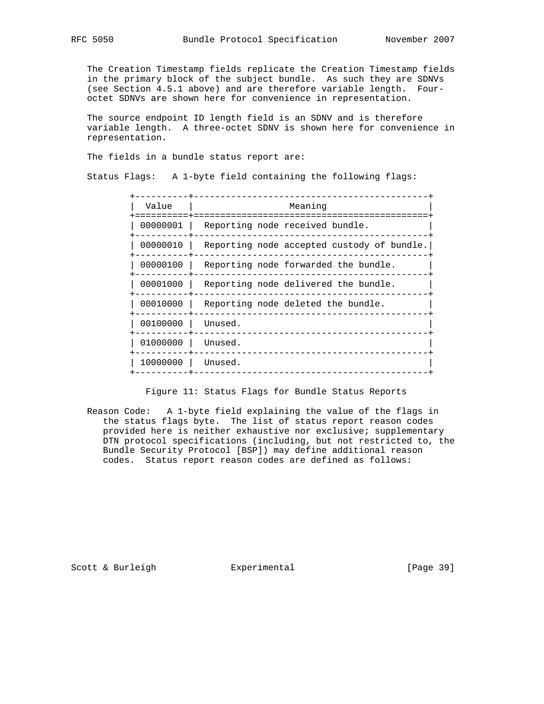The Creation Timestamp fields replicate the Creation Timestamp fields in the primary block of the subject bundle. As such they are SDNVs (see Section 4.5.1 above) and are therefore variable length. Four octet SDNVs are shown here for convenience in representation.

 The source endpoint ID length field is an SDNV and is therefore variable length. A three-octet SDNV is shown here for convenience in representation.

The fields in a bundle status report are:

Status Flags: A 1-byte field containing the following flags:

| Value    | Meaning                                    |
|----------|--------------------------------------------|
| 00000001 | Reporting node received bundle.            |
| 00000010 | Reporting node accepted custody of bundle. |
| 00000100 | Reporting node forwarded the bundle.       |
| 00001000 | Reporting node delivered the bundle.       |
| 00010000 | Reporting node deleted the bundle.         |
| 00100000 | Unused.                                    |
| 01000000 | Unused.                                    |
| 10000000 | Unused.                                    |
|          |                                            |

Figure 11: Status Flags for Bundle Status Reports

 Reason Code: A 1-byte field explaining the value of the flags in the status flags byte. The list of status report reason codes provided here is neither exhaustive nor exclusive; supplementary DTN protocol specifications (including, but not restricted to, the Bundle Security Protocol [BSP]) may define additional reason codes. Status report reason codes are defined as follows:

Scott & Burleigh **Experimental** [Page 39]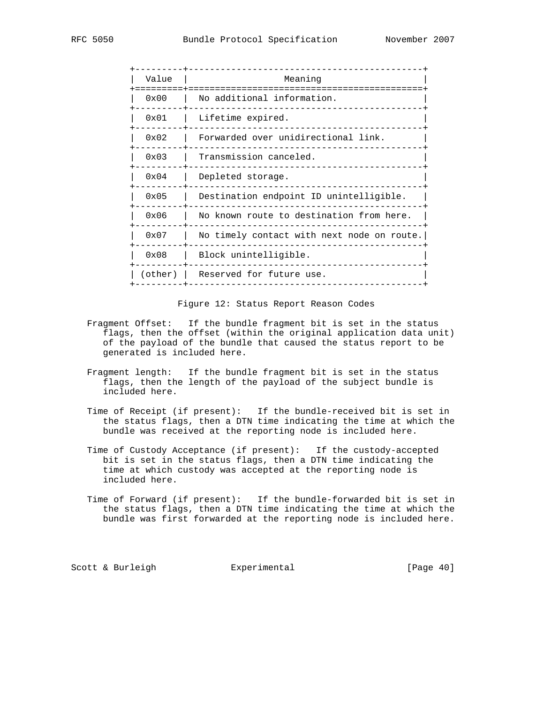| Value   | Meaning                                    |
|---------|--------------------------------------------|
| 0x00    | No additional information.                 |
| 0x01    | Lifetime expired.                          |
| 0x02    | Forwarded over unidirectional link.        |
| 0x03    | Transmission canceled.                     |
| 0x04    | Depleted storage.                          |
| 0x05    | Destination endpoint ID unintelligible.    |
| 0x06    | No known route to destination from here.   |
| 0x07    | No timely contact with next node on route. |
| 0x08    | Block unintelligible.                      |
| (other) | Reserved for future use.                   |
|         |                                            |

Figure 12: Status Report Reason Codes

- Fragment Offset: If the bundle fragment bit is set in the status flags, then the offset (within the original application data unit) of the payload of the bundle that caused the status report to be generated is included here.
- Fragment length: If the bundle fragment bit is set in the status flags, then the length of the payload of the subject bundle is included here.
- Time of Receipt (if present): If the bundle-received bit is set in the status flags, then a DTN time indicating the time at which the bundle was received at the reporting node is included here.
- Time of Custody Acceptance (if present): If the custody-accepted bit is set in the status flags, then a DTN time indicating the time at which custody was accepted at the reporting node is included here.
- Time of Forward (if present): If the bundle-forwarded bit is set in the status flags, then a DTN time indicating the time at which the bundle was first forwarded at the reporting node is included here.

Scott & Burleigh Experimental [Page 40]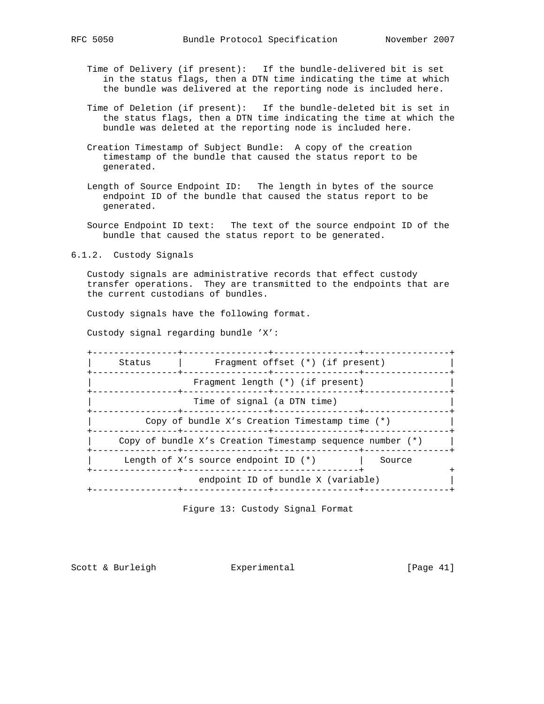- Time of Delivery (if present): If the bundle-delivered bit is set in the status flags, then a DTN time indicating the time at which the bundle was delivered at the reporting node is included here.
- Time of Deletion (if present): If the bundle-deleted bit is set in the status flags, then a DTN time indicating the time at which the bundle was deleted at the reporting node is included here.
- Creation Timestamp of Subject Bundle: A copy of the creation timestamp of the bundle that caused the status report to be generated.
- Length of Source Endpoint ID: The length in bytes of the source endpoint ID of the bundle that caused the status report to be generated.
- Source Endpoint ID text: The text of the source endpoint ID of the bundle that caused the status report to be generated.
- 6.1.2. Custody Signals

 Custody signals are administrative records that effect custody transfer operations. They are transmitted to the endpoints that are the current custodians of bundles.

Custody signals have the following format.

Custody signal regarding bundle 'X':

 +----------------+----------------+----------------+----------------+ | Status | Fragment offset (\*) (if present) | +----------------+----------------+----------------+----------------+ Fragment length (\*) (if present) +----------------+----------------+----------------+----------------+ Time of signal (a DTN time) +----------------+----------------+----------------+----------------+ Copy of bundle X's Creation Timestamp time  $(*)$  +----------------+----------------+----------------+----------------+ Copy of bundle X's Creation Timestamp sequence number  $(*)$  | +----------------+----------------+----------------+----------------+ | Length of X's source endpoint ID (\*) | Source +----------------+---------------------------------+ + endpoint ID of bundle X (variable) | +----------------+----------------+----------------+----------------+

Figure 13: Custody Signal Format

Scott & Burleigh Experimental [Page 41]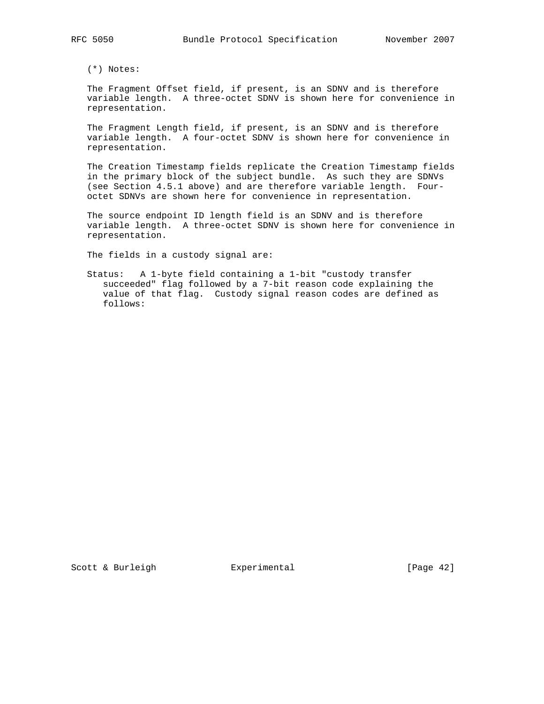(\*) Notes:

 The Fragment Offset field, if present, is an SDNV and is therefore variable length. A three-octet SDNV is shown here for convenience in representation.

 The Fragment Length field, if present, is an SDNV and is therefore variable length. A four-octet SDNV is shown here for convenience in representation.

 The Creation Timestamp fields replicate the Creation Timestamp fields in the primary block of the subject bundle. As such they are SDNVs (see Section 4.5.1 above) and are therefore variable length. Four octet SDNVs are shown here for convenience in representation.

 The source endpoint ID length field is an SDNV and is therefore variable length. A three-octet SDNV is shown here for convenience in representation.

The fields in a custody signal are:

 Status: A 1-byte field containing a 1-bit "custody transfer succeeded" flag followed by a 7-bit reason code explaining the value of that flag. Custody signal reason codes are defined as follows: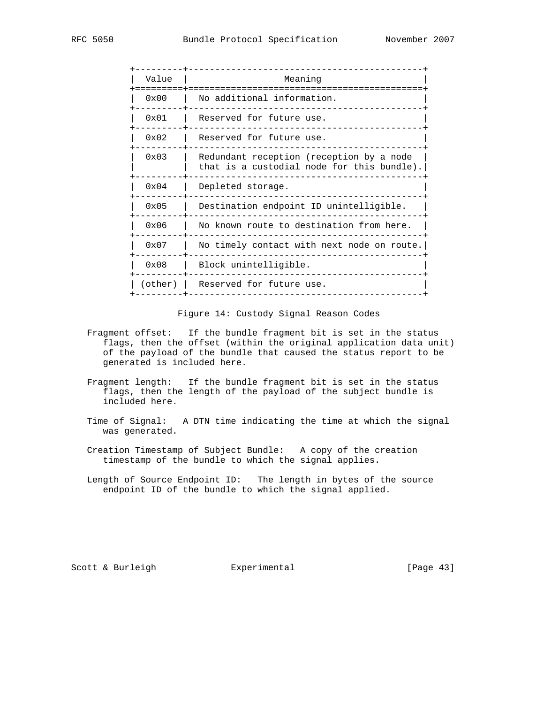| Value         | Meaning                                                                                |
|---------------|----------------------------------------------------------------------------------------|
| $0 \times 00$ | No additional information.                                                             |
| 0x01          | Reserved for future use.                                                               |
| 0x02          | Reserved for future use.                                                               |
| 0x03          | Redundant reception (reception by a node<br>that is a custodial node for this bundle). |
| 0x04          | Depleted storage.                                                                      |
| 0x05          | Destination endpoint ID unintelligible.                                                |
| 0x06          | No known route to destination from here.                                               |
| 0x07          | No timely contact with next node on route.                                             |
| 0x08          | Block unintelligible.                                                                  |
| (other)       | Reserved for future use.                                                               |
|               |                                                                                        |

Figure 14: Custody Signal Reason Codes

- Fragment offset: If the bundle fragment bit is set in the status flags, then the offset (within the original application data unit) of the payload of the bundle that caused the status report to be generated is included here.
- Fragment length: If the bundle fragment bit is set in the status flags, then the length of the payload of the subject bundle is included here.
- Time of Signal: A DTN time indicating the time at which the signal was generated.
- Creation Timestamp of Subject Bundle: A copy of the creation timestamp of the bundle to which the signal applies.
- Length of Source Endpoint ID: The length in bytes of the source endpoint ID of the bundle to which the signal applied.

Scott & Burleigh **Experimental** [Page 43]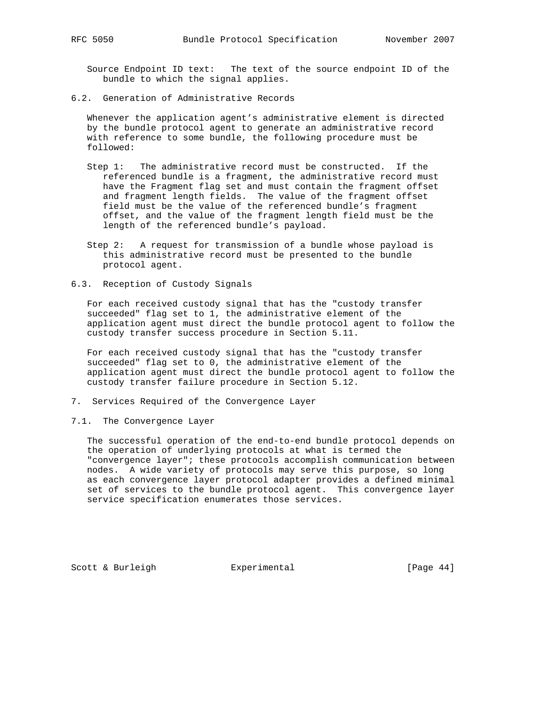Source Endpoint ID text: The text of the source endpoint ID of the bundle to which the signal applies.

6.2. Generation of Administrative Records

 Whenever the application agent's administrative element is directed by the bundle protocol agent to generate an administrative record with reference to some bundle, the following procedure must be followed:

- Step 1: The administrative record must be constructed. If the referenced bundle is a fragment, the administrative record must have the Fragment flag set and must contain the fragment offset and fragment length fields. The value of the fragment offset field must be the value of the referenced bundle's fragment offset, and the value of the fragment length field must be the length of the referenced bundle's payload.
- Step 2: A request for transmission of a bundle whose payload is this administrative record must be presented to the bundle protocol agent.
- 6.3. Reception of Custody Signals

 For each received custody signal that has the "custody transfer succeeded" flag set to 1, the administrative element of the application agent must direct the bundle protocol agent to follow the custody transfer success procedure in Section 5.11.

 For each received custody signal that has the "custody transfer succeeded" flag set to 0, the administrative element of the application agent must direct the bundle protocol agent to follow the custody transfer failure procedure in Section 5.12.

- 7. Services Required of the Convergence Layer
- 7.1. The Convergence Layer

 The successful operation of the end-to-end bundle protocol depends on the operation of underlying protocols at what is termed the "convergence layer"; these protocols accomplish communication between nodes. A wide variety of protocols may serve this purpose, so long as each convergence layer protocol adapter provides a defined minimal set of services to the bundle protocol agent. This convergence layer service specification enumerates those services.

Scott & Burleigh **Experimental** [Page 44]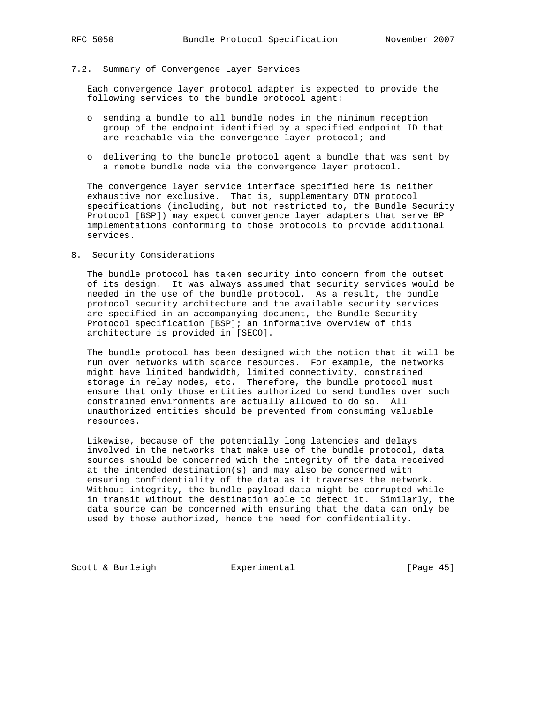# 7.2. Summary of Convergence Layer Services

 Each convergence layer protocol adapter is expected to provide the following services to the bundle protocol agent:

- o sending a bundle to all bundle nodes in the minimum reception group of the endpoint identified by a specified endpoint ID that are reachable via the convergence layer protocol; and
- o delivering to the bundle protocol agent a bundle that was sent by a remote bundle node via the convergence layer protocol.

 The convergence layer service interface specified here is neither exhaustive nor exclusive. That is, supplementary DTN protocol specifications (including, but not restricted to, the Bundle Security Protocol [BSP]) may expect convergence layer adapters that serve BP implementations conforming to those protocols to provide additional services.

8. Security Considerations

 The bundle protocol has taken security into concern from the outset of its design. It was always assumed that security services would be needed in the use of the bundle protocol. As a result, the bundle protocol security architecture and the available security services are specified in an accompanying document, the Bundle Security Protocol specification [BSP]; an informative overview of this architecture is provided in [SECO].

 The bundle protocol has been designed with the notion that it will be run over networks with scarce resources. For example, the networks might have limited bandwidth, limited connectivity, constrained storage in relay nodes, etc. Therefore, the bundle protocol must ensure that only those entities authorized to send bundles over such constrained environments are actually allowed to do so. All unauthorized entities should be prevented from consuming valuable resources.

 Likewise, because of the potentially long latencies and delays involved in the networks that make use of the bundle protocol, data sources should be concerned with the integrity of the data received at the intended destination(s) and may also be concerned with ensuring confidentiality of the data as it traverses the network. Without integrity, the bundle payload data might be corrupted while in transit without the destination able to detect it. Similarly, the data source can be concerned with ensuring that the data can only be used by those authorized, hence the need for confidentiality.

Scott & Burleigh **Experimental** [Page 45]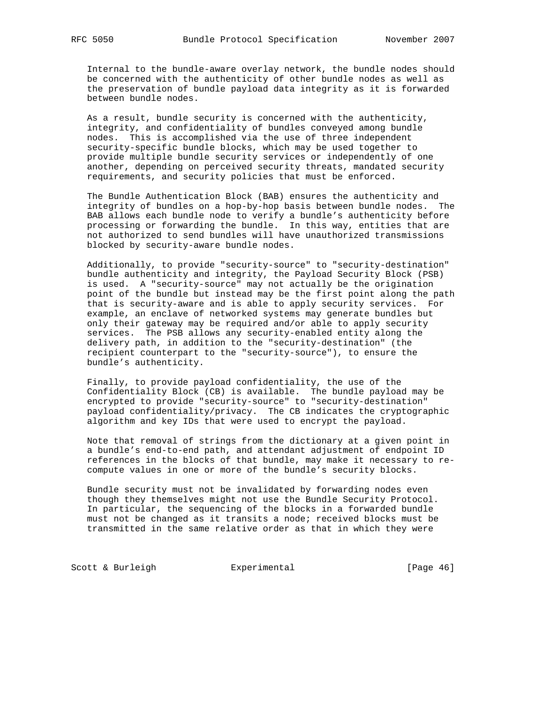Internal to the bundle-aware overlay network, the bundle nodes should be concerned with the authenticity of other bundle nodes as well as the preservation of bundle payload data integrity as it is forwarded between bundle nodes.

 As a result, bundle security is concerned with the authenticity, integrity, and confidentiality of bundles conveyed among bundle nodes. This is accomplished via the use of three independent security-specific bundle blocks, which may be used together to provide multiple bundle security services or independently of one another, depending on perceived security threats, mandated security requirements, and security policies that must be enforced.

 The Bundle Authentication Block (BAB) ensures the authenticity and integrity of bundles on a hop-by-hop basis between bundle nodes. The BAB allows each bundle node to verify a bundle's authenticity before processing or forwarding the bundle. In this way, entities that are not authorized to send bundles will have unauthorized transmissions blocked by security-aware bundle nodes.

 Additionally, to provide "security-source" to "security-destination" bundle authenticity and integrity, the Payload Security Block (PSB) is used. A "security-source" may not actually be the origination point of the bundle but instead may be the first point along the path that is security-aware and is able to apply security services. For example, an enclave of networked systems may generate bundles but only their gateway may be required and/or able to apply security services. The PSB allows any security-enabled entity along the delivery path, in addition to the "security-destination" (the recipient counterpart to the "security-source"), to ensure the bundle's authenticity.

 Finally, to provide payload confidentiality, the use of the Confidentiality Block (CB) is available. The bundle payload may be encrypted to provide "security-source" to "security-destination" payload confidentiality/privacy. The CB indicates the cryptographic algorithm and key IDs that were used to encrypt the payload.

 Note that removal of strings from the dictionary at a given point in a bundle's end-to-end path, and attendant adjustment of endpoint ID references in the blocks of that bundle, may make it necessary to re compute values in one or more of the bundle's security blocks.

 Bundle security must not be invalidated by forwarding nodes even though they themselves might not use the Bundle Security Protocol. In particular, the sequencing of the blocks in a forwarded bundle must not be changed as it transits a node; received blocks must be transmitted in the same relative order as that in which they were

Scott & Burleigh **Experimental** [Page 46]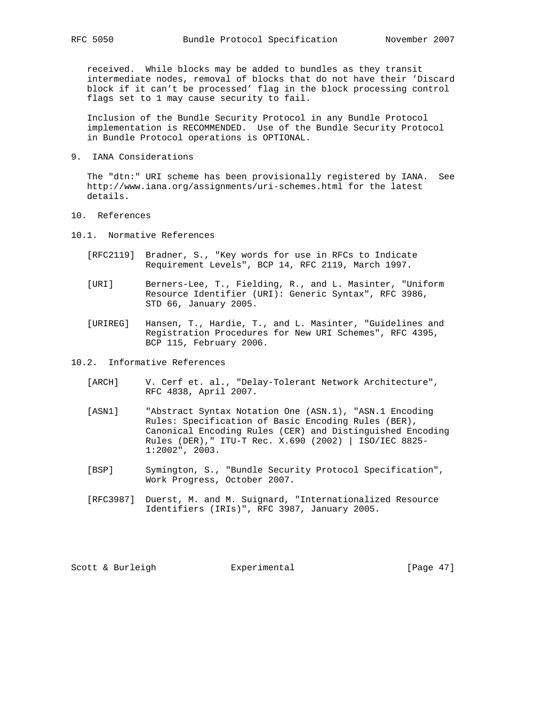received. While blocks may be added to bundles as they transit intermediate nodes, removal of blocks that do not have their 'Discard block if it can't be processed' flag in the block processing control flags set to 1 may cause security to fail.

 Inclusion of the Bundle Security Protocol in any Bundle Protocol implementation is RECOMMENDED. Use of the Bundle Security Protocol in Bundle Protocol operations is OPTIONAL.

9. IANA Considerations

 The "dtn:" URI scheme has been provisionally registered by IANA. See http://www.iana.org/assignments/uri-schemes.html for the latest details.

- 10. References
- 10.1. Normative References
	- [RFC2119] Bradner, S., "Key words for use in RFCs to Indicate Requirement Levels", BCP 14, RFC 2119, March 1997.
	- [URI] Berners-Lee, T., Fielding, R., and L. Masinter, "Uniform Resource Identifier (URI): Generic Syntax", RFC 3986, STD 66, January 2005.
	- [URIREG] Hansen, T., Hardie, T., and L. Masinter, "Guidelines and Registration Procedures for New URI Schemes", RFC 4395, BCP 115, February 2006.

10.2. Informative References

- [ARCH] V. Cerf et. al., "Delay-Tolerant Network Architecture", RFC 4838, April 2007.
- [ASN1] "Abstract Syntax Notation One (ASN.1), "ASN.1 Encoding Rules: Specification of Basic Encoding Rules (BER), Canonical Encoding Rules (CER) and Distinguished Encoding Rules (DER)," ITU-T Rec. X.690 (2002) | ISO/IEC 8825- 1:2002", 2003.
- [BSP] Symington, S., "Bundle Security Protocol Specification", Work Progress, October 2007.
- [RFC3987] Duerst, M. and M. Suignard, "Internationalized Resource Identifiers (IRIs)", RFC 3987, January 2005.

Scott & Burleigh Experimental [Page 47]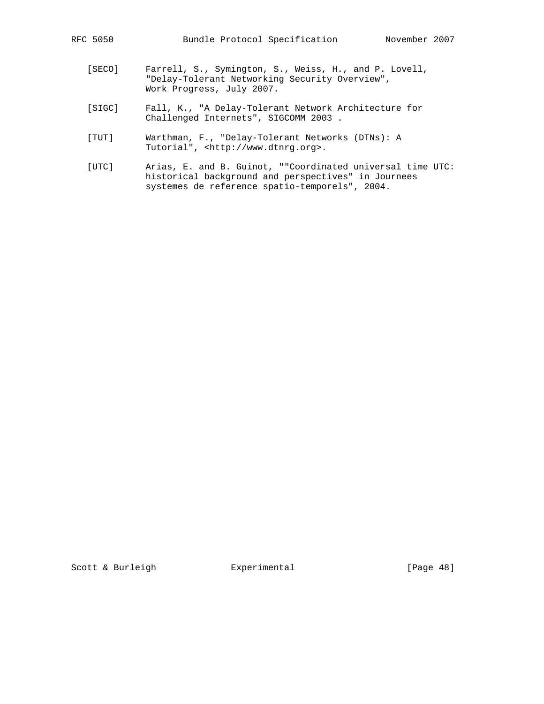- [SECO] Farrell, S., Symington, S., Weiss, H., and P. Lovell, "Delay-Tolerant Networking Security Overview", Work Progress, July 2007.
- [SIGC] Fall, K., "A Delay-Tolerant Network Architecture for Challenged Internets", SIGCOMM 2003 .
- [TUT] Warthman, F., "Delay-Tolerant Networks (DTNs): A Tutorial", <http://www.dtnrg.org>.
- [UTC] Arias, E. and B. Guinot, ""Coordinated universal time UTC: historical background and perspectives" in Journees systemes de reference spatio-temporels", 2004.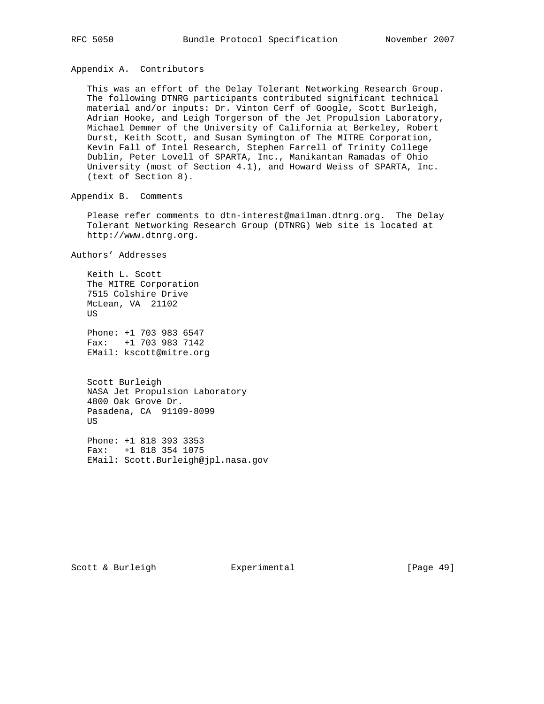Appendix A. Contributors

 This was an effort of the Delay Tolerant Networking Research Group. The following DTNRG participants contributed significant technical material and/or inputs: Dr. Vinton Cerf of Google, Scott Burleigh, Adrian Hooke, and Leigh Torgerson of the Jet Propulsion Laboratory, Michael Demmer of the University of California at Berkeley, Robert Durst, Keith Scott, and Susan Symington of The MITRE Corporation, Kevin Fall of Intel Research, Stephen Farrell of Trinity College Dublin, Peter Lovell of SPARTA, Inc., Manikantan Ramadas of Ohio University (most of Section 4.1), and Howard Weiss of SPARTA, Inc. (text of Section 8).

Appendix B. Comments

 Please refer comments to dtn-interest@mailman.dtnrg.org. The Delay Tolerant Networking Research Group (DTNRG) Web site is located at http://www.dtnrg.org.

Authors' Addresses

 Keith L. Scott The MITRE Corporation 7515 Colshire Drive McLean, VA 21102 US

 Phone: +1 703 983 6547 Fax: +1 703 983 7142 EMail: kscott@mitre.org

 Scott Burleigh NASA Jet Propulsion Laboratory 4800 Oak Grove Dr. Pasadena, CA 91109-8099 US

 Phone: +1 818 393 3353 Fax: +1 818 354 1075 EMail: Scott.Burleigh@jpl.nasa.gov

Scott & Burleigh **Experimental** [Page 49]